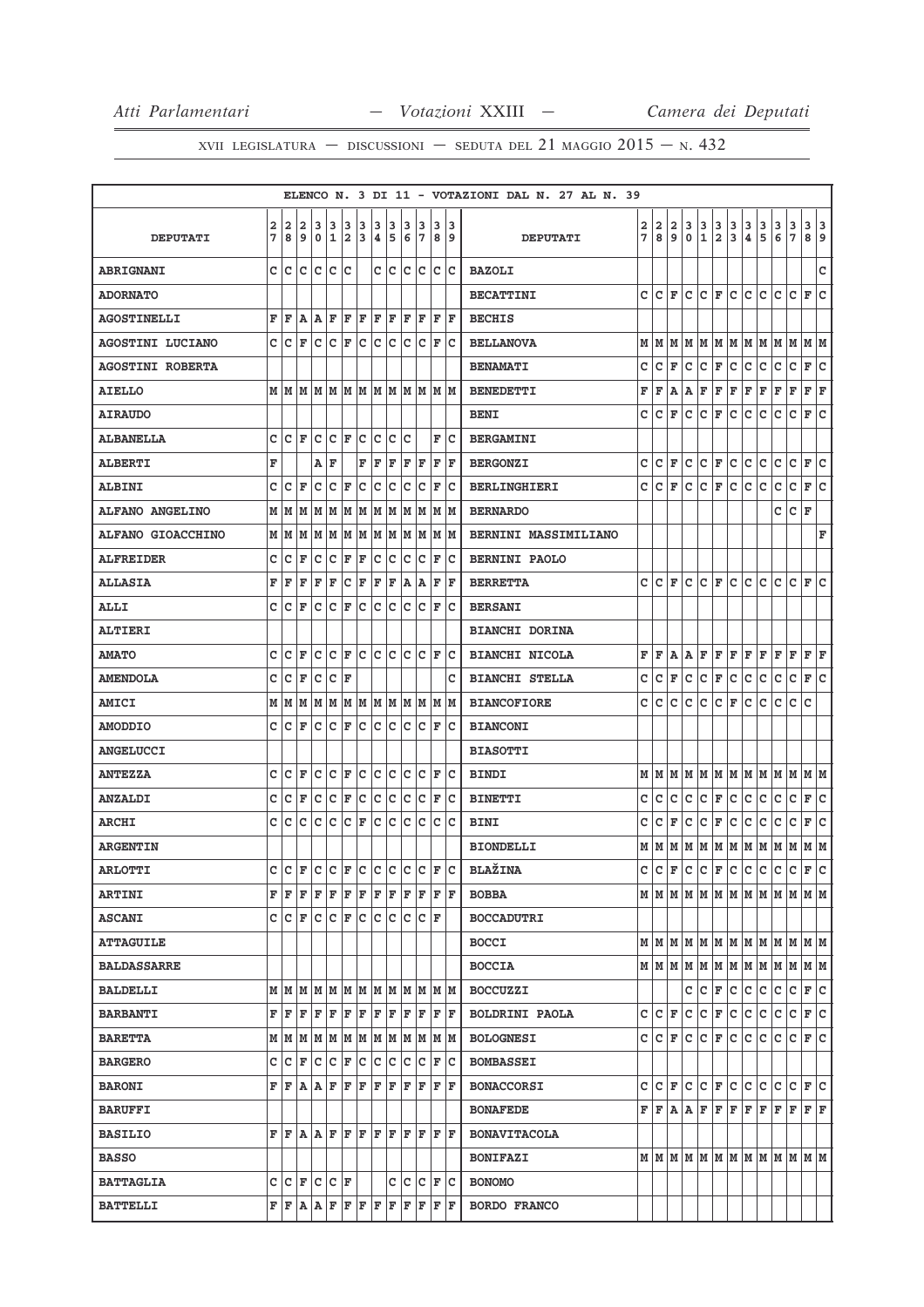|                         |   |                    |     |     |                  |    |     |     |         |     |                                                                                                                                                                         |                   |      | ELENCO N. 3 DI 11 - VOTAZIONI DAL N. 27 AL N. 39 |                |     |                              |     |                |                      |                                                                                                                                                                                                                                                                                                                                                                                                                                                                                            |               |     |                                                                                                                                                                                      |                          |                              |     |
|-------------------------|---|--------------------|-----|-----|------------------|----|-----|-----|---------|-----|-------------------------------------------------------------------------------------------------------------------------------------------------------------------------|-------------------|------|--------------------------------------------------|----------------|-----|------------------------------|-----|----------------|----------------------|--------------------------------------------------------------------------------------------------------------------------------------------------------------------------------------------------------------------------------------------------------------------------------------------------------------------------------------------------------------------------------------------------------------------------------------------------------------------------------------------|---------------|-----|--------------------------------------------------------------------------------------------------------------------------------------------------------------------------------------|--------------------------|------------------------------|-----|
|                         | 2 | 2                  | 2   | 3   | 3                | 3  | 3   | 3   | 3       | 3   | 3                                                                                                                                                                       | 3                 | 3    |                                                  |                | 2 2 | 2                            | 3   | $\frac{3}{1}$  | $\frac{3}{2}$        | $\frac{3}{3}$                                                                                                                                                                                                                                                                                                                                                                                                                                                                              | $\frac{3}{4}$ | 3   | 3                                                                                                                                                                                    | $\frac{3}{7}$            | 3 3                          |     |
| <b>DEPUTATI</b>         | 7 | 8                  | و ا | l 0 | 1                | 2  | 3   | ∣4. | 5       |     | 6 7                                                                                                                                                                     |                   | 89   | <b>DEPUTATI</b>                                  | $\overline{7}$ | 8   | و ا                          | 0   |                |                      |                                                                                                                                                                                                                                                                                                                                                                                                                                                                                            |               | 5   | 6                                                                                                                                                                                    |                          | 89                           |     |
| <b>ABRIGNANI</b>        | C | lc.                | c   | Iс  | c                | c  |     | c   | Iс      | c   | lc.                                                                                                                                                                     | lc.               | Ιc   | <b>BAZOLI</b>                                    |                |     |                              |     |                |                      |                                                                                                                                                                                                                                                                                                                                                                                                                                                                                            |               |     |                                                                                                                                                                                      |                          |                              | c   |
| <b>ADORNATO</b>         |   |                    |     |     |                  |    |     |     |         |     |                                                                                                                                                                         |                   |      | <b>BECATTINI</b>                                 |                |     |                              |     |                |                      |                                                                                                                                                                                                                                                                                                                                                                                                                                                                                            |               |     | $C C F C C F C C C C C F C$                                                                                                                                                          |                          |                              |     |
| <b>AGOSTINELLI</b>      | F | F                  | A   | lA. | F                | F  | F   | F   | F       | F   | F                                                                                                                                                                       | F                 | F    | <b>BECHIS</b>                                    |                |     |                              |     |                |                      |                                                                                                                                                                                                                                                                                                                                                                                                                                                                                            |               |     |                                                                                                                                                                                      |                          |                              |     |
| AGOSTINI LUCIANO        | c | c                  | ΙF  | c   | c                | F  | c   | c   | c       | c   | c                                                                                                                                                                       | F                 | Ιc   | <b>BELLANOVA</b>                                 |                |     |                              |     |                |                      |                                                                                                                                                                                                                                                                                                                                                                                                                                                                                            |               |     | $\texttt{M}\mid\texttt{M}\mid\texttt{M}\mid\texttt{M}\mid\texttt{M}\mid\texttt{M}\mid\texttt{M}\mid\texttt{M}\mid\texttt{M}\mid\texttt{M}\mid\texttt{M}\mid\texttt{M}\mid\texttt{M}$ |                          |                              |     |
| <b>AGOSTINI ROBERTA</b> |   |                    |     |     |                  |    |     |     |         |     |                                                                                                                                                                         |                   |      | <b>BENAMATI</b>                                  | $\mathbf{C}$   | lc. | F                            | c   | c              | F C                  |                                                                                                                                                                                                                                                                                                                                                                                                                                                                                            | c             | lc. | lc.                                                                                                                                                                                  | c.                       | F C                          |     |
| AIELLO                  |   | M   M   M          |     |     |                  |    |     |     |         |     | M  M  M  M  M  M  M  M                                                                                                                                                  |                   | M  M | <b>BENEDETTI</b>                                 | F              | F   | A                            | A   | F              | F F                  |                                                                                                                                                                                                                                                                                                                                                                                                                                                                                            | F             | F   | F                                                                                                                                                                                    | $\mathbf F$              | F F                          |     |
| <b>AIRAUDO</b>          |   |                    |     |     |                  |    |     |     |         |     |                                                                                                                                                                         |                   |      | <b>BENI</b>                                      | c              | c   | F                            | lc. | $\overline{c}$ | F C                  |                                                                                                                                                                                                                                                                                                                                                                                                                                                                                            | с             | lc. | lc.                                                                                                                                                                                  | с                        | F C                          |     |
| <b>ALBANELLA</b>        | c | lc.                | ΙF  | с   | c                | F  | lc. | c   | с       | с   |                                                                                                                                                                         | F                 | Ιc   | <b>BERGAMINI</b>                                 |                |     |                              |     |                |                      |                                                                                                                                                                                                                                                                                                                                                                                                                                                                                            |               |     |                                                                                                                                                                                      |                          |                              |     |
| <b>ALBERTI</b>          | F |                    |     | Α   | F                |    | F   | F   | F       | F   | F                                                                                                                                                                       | F                 | ΙF   | <b>BERGONZI</b>                                  | с              |     | $ {\tt C} \,  $ ${\tt F} \,$ | c   | lc.            | F                    | lc.                                                                                                                                                                                                                                                                                                                                                                                                                                                                                        | с             | lc. | с                                                                                                                                                                                    | c                        | F                            | lc  |
| <b>ALBINI</b>           | c | c                  | F   | c   | c                | F  | c   | C   | c       | с   | с                                                                                                                                                                       | F                 | Iс   | <b>BERLINGHIERI</b>                              | c              | lc. | F                            | c   | c              | F                    | lc.                                                                                                                                                                                                                                                                                                                                                                                                                                                                                        | с             | с   | с                                                                                                                                                                                    | с                        | F                            | lc. |
| <b>ALFANO ANGELINO</b>  | M | M                  | M   | M   | M                | М  | M   | M   | M       | lМ  | lм                                                                                                                                                                      |                   | M  M | <b>BERNARDO</b>                                  |                |     |                              |     |                |                      |                                                                                                                                                                                                                                                                                                                                                                                                                                                                                            |               |     | c                                                                                                                                                                                    | C F                      |                              |     |
| ALFANO GIOACCHINO       | М | M                  | M   | M   | M                | M  | M   | M   | M       | M   | M                                                                                                                                                                       | M                 | M    | <b>BERNINI MASSIMILIANO</b>                      |                |     |                              |     |                |                      |                                                                                                                                                                                                                                                                                                                                                                                                                                                                                            |               |     |                                                                                                                                                                                      |                          |                              | F   |
| <b>ALFREIDER</b>        | c | c                  | ΙF  | Iс  | c                | F  | F   | c   | с       | c   | c                                                                                                                                                                       | F                 | Ιc   | <b>BERNINI PAOLO</b>                             |                |     |                              |     |                |                      |                                                                                                                                                                                                                                                                                                                                                                                                                                                                                            |               |     |                                                                                                                                                                                      |                          |                              |     |
| <b>ALLASIA</b>          | F | F                  | F   | F   | F                | c  | F   | F   | F       | A   | A                                                                                                                                                                       | F                 | F    | <b>BERRETTA</b>                                  |                |     |                              |     |                |                      |                                                                                                                                                                                                                                                                                                                                                                                                                                                                                            |               |     | c c F c c F c c c c c F c                                                                                                                                                            |                          |                              |     |
| ALLI                    | C | lc.                | F   | c   | c                | F  | c   | c   | с       | lc. | c                                                                                                                                                                       | F                 | ΙC   | <b>BERSANI</b>                                   |                |     |                              |     |                |                      |                                                                                                                                                                                                                                                                                                                                                                                                                                                                                            |               |     |                                                                                                                                                                                      |                          |                              |     |
| <b>ALTIERI</b>          |   |                    |     |     |                  |    |     |     |         |     |                                                                                                                                                                         |                   |      | <b>BIANCHI DORINA</b>                            |                |     |                              |     |                |                      |                                                                                                                                                                                                                                                                                                                                                                                                                                                                                            |               |     |                                                                                                                                                                                      |                          |                              |     |
| <b>AMATO</b>            | c | c                  | F   | с   | c                | F  | lc. | c   | Iс      | Iс  | lc.                                                                                                                                                                     | F                 | lc   | <b>BIANCHI NICOLA</b>                            | F              | lF. |                              |     | A A F          |                      | F F F F                                                                                                                                                                                                                                                                                                                                                                                                                                                                                    |               |     | F                                                                                                                                                                                    | F                        | $\mathbf{F} \mid \mathbf{F}$ |     |
| <b>AMENDOLA</b>         | C | c                  | F   | c   | c                | F  |     |     |         |     |                                                                                                                                                                         |                   | c    | <b>BIANCHI STELLA</b>                            | c              |     | $ {\bf C}  {\bf F} $         | c.  |                |                      | $ C $ $\mathbf{F}$ $ C $                                                                                                                                                                                                                                                                                                                                                                                                                                                                   | c.            | c.  | c                                                                                                                                                                                    | $ C $ $\mathbf{F}$ $ C $ |                              |     |
| <b>AMICI</b>            | М | lм                 | M   |     |                  |    |     |     |         |     | M  M  M  M  M  M  M  M  M  M                                                                                                                                            |                   |      | <b>BIANCOFIORE</b>                               | с              | lc. | c                            | c   | lc.            | $ {\bf C}  {\bf F} $ |                                                                                                                                                                                                                                                                                                                                                                                                                                                                                            | c             | lc. | c                                                                                                                                                                                    | lc.                      | ١c                           |     |
| <b>AMODDIO</b>          | c | lC.                | F   | lc. | lc.              | F  | lc. | lc. | lc.     | lc. | lc.                                                                                                                                                                     | F                 | Ιc   | <b>BIANCONI</b>                                  |                |     |                              |     |                |                      |                                                                                                                                                                                                                                                                                                                                                                                                                                                                                            |               |     |                                                                                                                                                                                      |                          |                              |     |
| <b>ANGELUCCI</b>        |   |                    |     |     |                  |    |     |     |         |     |                                                                                                                                                                         |                   |      | <b>BIASOTTI</b>                                  |                |     |                              |     |                |                      |                                                                                                                                                                                                                                                                                                                                                                                                                                                                                            |               |     |                                                                                                                                                                                      |                          |                              |     |
| <b>ANTEZZA</b>          | C | ١c                 | F   | c   | c                | F  | c   | c   | Iс      | c   | lc.                                                                                                                                                                     | F                 | ΙC   | <b>BINDI</b>                                     |                | MM  |                              |     |                |                      |                                                                                                                                                                                                                                                                                                                                                                                                                                                                                            |               |     |                                                                                                                                                                                      |                          |                              |     |
| <b>ANZALDI</b>          | c | c                  | F   | c   | c                | F  | с   | c   | c       | c   | c                                                                                                                                                                       | F                 | Iс   | <b>BINETTI</b>                                   | с              | с   | с                            | c   | c              | F C                  |                                                                                                                                                                                                                                                                                                                                                                                                                                                                                            | C             | IC. | с                                                                                                                                                                                    | c                        | F C                          |     |
| <b>ARCHI</b>            | c | c                  | с   | c   | c                | c  | F   | c   | c       | c   | c                                                                                                                                                                       | lc.               | Ιc   | <b>BINI</b>                                      | с              | с   | F                            | с   | с              | F                    | c                                                                                                                                                                                                                                                                                                                                                                                                                                                                                          | c             | с   | с                                                                                                                                                                                    | c                        | F C                          |     |
| <b>ARGENTIN</b>         |   |                    |     |     |                  |    |     |     |         |     |                                                                                                                                                                         |                   |      | <b>BIONDELLI</b>                                 |                |     |                              |     |                |                      |                                                                                                                                                                                                                                                                                                                                                                                                                                                                                            |               |     |                                                                                                                                                                                      |                          |                              |     |
| <b>ARLOTTI</b>          | Ċ | $\overline{c}$     | F   | lc. | $ c _F c c c c $ |    |     |     |         |     | lc.                                                                                                                                                                     |                   |      | $ F C $ BLAŽINA                                  |                |     |                              |     |                |                      |                                                                                                                                                                                                                                                                                                                                                                                                                                                                                            |               |     | $c c _F c c _F c c c c c _F c $                                                                                                                                                      |                          |                              |     |
| <b>ARTINI</b>           | F | F                  | F   | F   | ΙF               | F  | F   | F   | F       | F   | F                                                                                                                                                                       | F                 | lF.  | <b>BOBBA</b>                                     |                |     |                              |     |                |                      |                                                                                                                                                                                                                                                                                                                                                                                                                                                                                            |               |     | MIMIMIMIMIMIMIMIMIMIM                                                                                                                                                                |                          |                              |     |
| <b>ASCANI</b>           | c | $ C $ F            |     | c   | c                | F  | c   | c   | Iс      | Iс  |                                                                                                                                                                         | $ {\tt C} \;  $ F |      | <b>BOCCADUTRI</b>                                |                |     |                              |     |                |                      |                                                                                                                                                                                                                                                                                                                                                                                                                                                                                            |               |     |                                                                                                                                                                                      |                          |                              |     |
| <b>ATTAGUILE</b>        |   |                    |     |     |                  |    |     |     |         |     |                                                                                                                                                                         |                   |      | <b>BOCCI</b>                                     |                |     |                              |     |                |                      |                                                                                                                                                                                                                                                                                                                                                                                                                                                                                            |               |     | MMMMMMMMMMMMMMM                                                                                                                                                                      |                          |                              |     |
| <b>BALDASSARRE</b>      |   |                    |     |     |                  |    |     |     |         |     |                                                                                                                                                                         |                   |      | <b>BOCCIA</b>                                    |                |     |                              |     |                |                      |                                                                                                                                                                                                                                                                                                                                                                                                                                                                                            |               |     | м м м м м м м м м м м м                                                                                                                                                              |                          |                              |     |
| <b>BALDELLI</b>         | М | M                  | M   | M   | lм               |    |     |     | мімімім |     | MM                                                                                                                                                                      |                   | M M  | <b>BOCCUZZI</b>                                  |                |     |                              | c   |                |                      | $ C $ $\mathbf{F}$ $ C $                                                                                                                                                                                                                                                                                                                                                                                                                                                                   | c c           |     | c                                                                                                                                                                                    | c                        | F C                          |     |
| <b>BARBANTI</b>         | F | F                  | lF. | F   | F                | F  | F   | F   | F       | lF. | lF.                                                                                                                                                                     |                   | FF   | <b>BOLDRINI PAOLA</b>                            |                |     | C C F                        | lc. |                |                      | $ c _F c c $                                                                                                                                                                                                                                                                                                                                                                                                                                                                               |               | lc. | lc.                                                                                                                                                                                  | c                        | F C                          |     |
| <b>BARETTA</b>          |   |                    |     |     |                  |    |     |     |         |     |                                                                                                                                                                         |                   |      | <b>BOLOGNESI</b>                                 |                |     | C C F                        |     |                |                      | $ {\mathbf C}\, {\mathbf C}\, $ r $ {\mathbf C}\, {\mathbf C}\, $ C $ {\mathbf C}\, $                                                                                                                                                                                                                                                                                                                                                                                                      |               |     | IС                                                                                                                                                                                   | lc.                      | F C                          |     |
| <b>BARGERO</b>          | C | с                  | F   | Iс  | c                | F  | c   | c   | Iс      | c   | Iс                                                                                                                                                                      | F                 | Ιc   | <b>BOMBASSEI</b>                                 |                |     |                              |     |                |                      |                                                                                                                                                                                                                                                                                                                                                                                                                                                                                            |               |     |                                                                                                                                                                                      |                          |                              |     |
| <b>BARONI</b>           | F | F                  | ۱A  | A   | F                | F  | F   | F   | F       | F   | F                                                                                                                                                                       |                   | F  F | <b>BONACCORSI</b>                                |                |     |                              |     | C C F C C F C  |                      |                                                                                                                                                                                                                                                                                                                                                                                                                                                                                            | c c           |     | lc.                                                                                                                                                                                  | IC IF IC                 |                              |     |
| <b>BARUFFI</b>          |   |                    |     |     |                  |    |     |     |         |     |                                                                                                                                                                         |                   |      | <b>BONAFEDE</b>                                  |                |     |                              |     |                |                      | $\mathbf{F} \left  \mathbf{F} \right. \left  \mathbf{A} \right. \left  \mathbf{F} \right. \left  \mathbf{F} \right. \left  \mathbf{F} \right. \left  \mathbf{F} \right. \left  \mathbf{F} \right. \left  \mathbf{F} \right. \left  \mathbf{F} \right. \left  \mathbf{F} \right. \left  \mathbf{F} \right. \left  \mathbf{F} \right. \left  \mathbf{F} \right. \left  \mathbf{F} \right. \left  \mathbf{F} \right. \left  \mathbf{F} \right. \left  \mathbf{F} \right. \left  \mathbf{F} \$ |               |     | F                                                                                                                                                                                    | lF.                      | $F$ $F$                      |     |
| <b>BASILIO</b>          | F | F A                |     | A F |                  |    | F F | F F |         |     | F F                                                                                                                                                                     |                   | F F  | <b>BONAVITACOLA</b>                              |                |     |                              |     |                |                      |                                                                                                                                                                                                                                                                                                                                                                                                                                                                                            |               |     |                                                                                                                                                                                      |                          |                              |     |
| <b>BASSO</b>            |   |                    |     |     |                  |    |     |     |         |     |                                                                                                                                                                         |                   |      | <b>BONIFAZI</b>                                  |                |     |                              |     |                |                      |                                                                                                                                                                                                                                                                                                                                                                                                                                                                                            |               |     | MMMMMMMMMMMMMMM                                                                                                                                                                      |                          |                              |     |
| <b>BATTAGLIA</b>        | c | $ C $ $\mathbf{F}$ |     | c   | lc.              | ΙF |     |     | c       | lc. | lc.                                                                                                                                                                     |                   | F C  | <b>BONOMO</b>                                    |                |     |                              |     |                |                      |                                                                                                                                                                                                                                                                                                                                                                                                                                                                                            |               |     |                                                                                                                                                                                      |                          |                              |     |
| <b>BATTELLI</b>         |   |                    |     |     |                  |    |     |     |         |     | ${\bf F}\, \,{\bf F}\, \,{\bf A}\, \,{\bf A}\, \,{\bf F}\, \,{\bf F}\, \,{\bf F}\, \,{\bf F}\, \,{\bf F}\, \,{\bf F}\, \,{\bf F}\, \,{\bf F}\, \,{\bf F}\, \,{\bf F}\,$ |                   |      | <b>BORDO FRANCO</b>                              |                |     |                              |     |                |                      |                                                                                                                                                                                                                                                                                                                                                                                                                                                                                            |               |     |                                                                                                                                                                                      |                          |                              |     |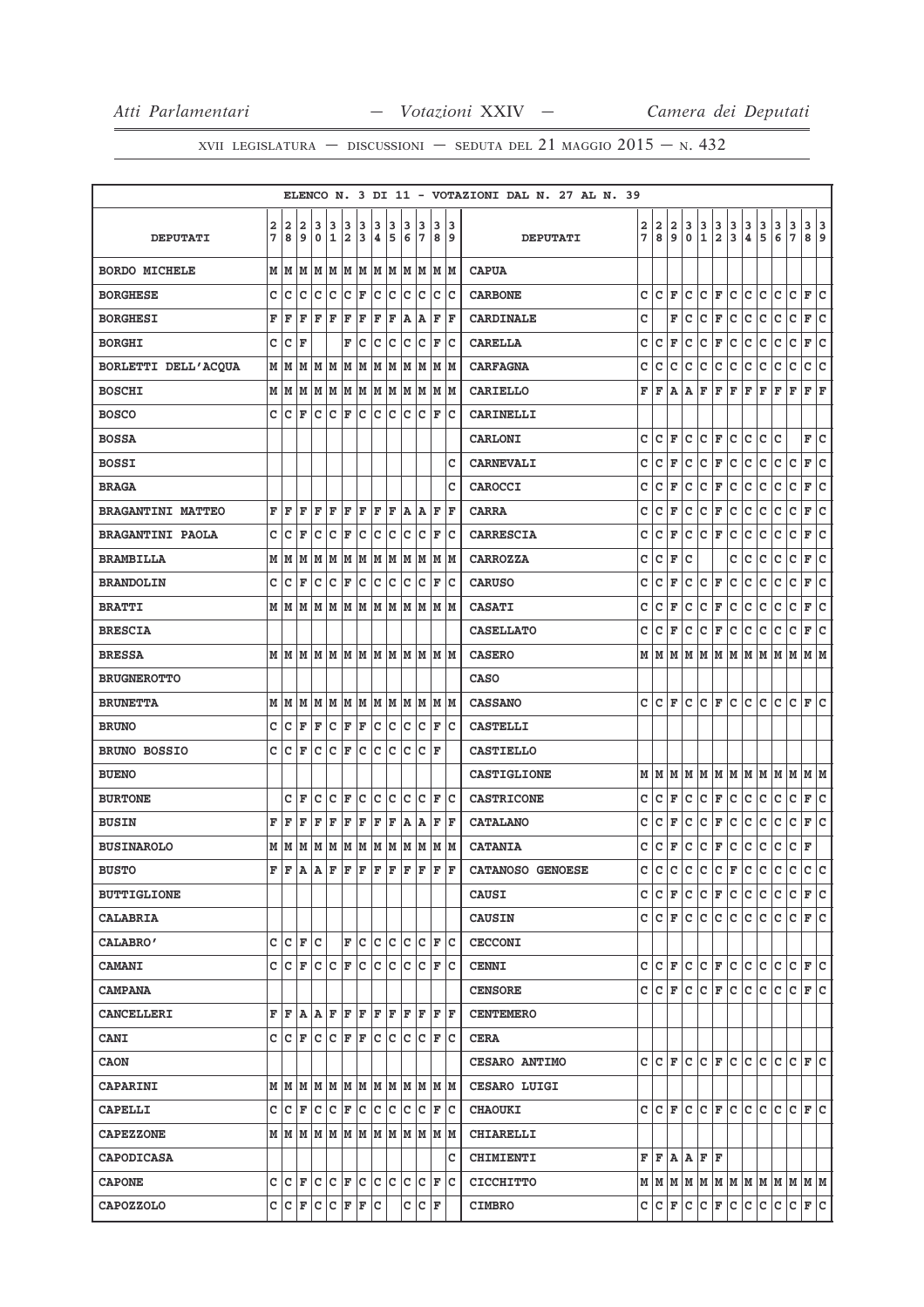|                          |   |                    |               |     |              |                         |     |     |     |     |                              |      |     | ELENCO N. 3 DI 11 - VOTAZIONI DAL N. 27 AL N. 39 |   |       |   |     |                            |                         |               |                  |                   |     |                                         |             |     |
|--------------------------|---|--------------------|---------------|-----|--------------|-------------------------|-----|-----|-----|-----|------------------------------|------|-----|--------------------------------------------------|---|-------|---|-----|----------------------------|-------------------------|---------------|------------------|-------------------|-----|-----------------------------------------|-------------|-----|
|                          | 2 | $\mathbf{2}$       | 2             | 3   | 3            | з                       | 3   | 3   | 3   | 3   | 3                            | 3    | 3   |                                                  | 2 | 2     | 2 | з   | $\frac{3}{1}$              | 3                       | $\frac{3}{3}$ | $\frac{3}{4}$    | $\frac{3}{5}$     | 3   | $\frac{3}{7}$                           | 3 3         |     |
| <b>DEPUTATI</b>          | 7 | 8                  | 9             | 0   | 1            | 2                       | 3   | 4   | 5   | 6   | 17                           | 89   |     | <b>DEPUTATI</b>                                  | 7 | 8     | 9 | 0   |                            | $\overline{\mathbf{2}}$ |               |                  |                   | 6   |                                         | 8 9         |     |
| <b>BORDO MICHELE</b>     | М | M                  | M             | M   | M            | M                       | M   | M   | M   | M   | M                            | M  M |     | <b>CAPUA</b>                                     |   |       |   |     |                            |                         |               |                  |                   |     |                                         |             |     |
| <b>BORGHESE</b>          | c | c                  | c             | lc. | c            | c                       | F   | c   | c   | c   | c                            | c    | Iс  | <b>CARBONE</b>                                   | c | c     | F | c   | c                          | F                       | lc.           | c                | c                 | c   | c                                       | F           | lc  |
| <b>BORGHESI</b>          | F | F                  | F             | F   | F            | F                       | F   | F   | F   | A   | Α                            | F    | F   | <b>CARDINALE</b>                                 | с |       | F | c   | с                          | F                       | с             | с                | c                 | с   | с                                       | F           | с   |
| <b>BORGHI</b>            | c | C                  | F             |     |              | F                       | c   | c   | c   | c   | c                            | F    | Ιc  | <b>CARELLA</b>                                   | с | с     | F | с   | с                          | $\mathbf F$             | c             | с                | с                 | с   | С                                       | F           | c   |
| BORLETTI DELL'ACQUA      | M | M                  | M             | M   | M            | M                       | M   | M   | M   | M   | M                            | M    | M   | <b>CARFAGNA</b>                                  | c | C     | c | с   | с                          | с                       | c             | с                | c                 | c   | c                                       | c           | lc. |
| <b>BOSCHI</b>            | М | M                  | M             | M   | M            | M                       | M   | M   | M   | M   | M                            | M  M |     | <b>CARIELLO</b>                                  | F | F     | Α | Α   | F                          | F                       | F             | F                | F                 | F   | F                                       | F           | F   |
| <b>BOSCO</b>             | c | c                  | F             | Iс  | lc.          | F                       | c   | c   | с   | c   | c                            | F    | Ιc  | <b>CARINELLI</b>                                 |   |       |   |     |                            |                         |               |                  |                   |     |                                         |             |     |
| <b>BOSSA</b>             |   |                    |               |     |              |                         |     |     |     |     |                              |      |     | <b>CARLONI</b>                                   | c | c     | F | c   | c                          | $\mathbf F$             | c             | $\mathtt{C}$     | c                 | c   |                                         | F           | lc  |
| <b>BOSSI</b>             |   |                    |               |     |              |                         |     |     |     |     |                              |      | c   | <b>CARNEVALI</b>                                 | с | c     | F | с   | c                          | F                       | c             | c                | c                 | c   | с                                       | F           | lc. |
| <b>BRAGA</b>             |   |                    |               |     |              |                         |     |     |     |     |                              |      | c   | CAROCCI                                          | c | с     | F | c   | c                          | F                       | C             | с                | с                 | с   | с                                       | F           | c   |
| <b>BRAGANTINI MATTEO</b> | F | F                  | F             | F   | F            | F                       | F   | F   | F   | A   | A                            | F    | l F | <b>CARRA</b>                                     | с | с     | F | с   | С                          | F                       | c             | с                | с                 | с   | С                                       | F           | c   |
| <b>BRAGANTINI PAOLA</b>  | C | C                  | F             | C   | C            | F                       | C   | C   | C   | C   | C                            | F    | lc  | <b>CARRESCIA</b>                                 | C | C     | F | с   | c                          | F                       | C             | c                | C                 | c   | c                                       | F           | c   |
| <b>BRAMBILLA</b>         | M | M                  | M             | M   | M            | M                       | M   | M   | M   | М   | М                            | M    | M   | <b>CARROZZA</b>                                  | c | c     | F | c   |                            |                         | c             | c                | с                 | c   | с                                       | F           | lc  |
| <b>BRANDOLIN</b>         | C | c                  | F             | c   | c            | F                       | c   | c   | c   | c   | с                            | F    | Ιc  | <b>CARUSO</b>                                    | с | c     | F | с   | c                          | F                       | c             | с                | с                 | с   | c                                       | $\mathbf F$ | lc. |
| <b>BRATTI</b>            | М | M                  | M             | M   | M            | M                       | M   | M   | M   | M   | M                            | M    | M   | <b>CASATI</b>                                    | c | c     | F | c   | с                          | F                       | C             | с                | c                 | c   | с                                       | F           | c   |
| <b>BRESCIA</b>           |   |                    |               |     |              |                         |     |     |     |     |                              |      |     | <b>CASELLATO</b>                                 | с | с     | F | с   | с                          | F                       | c             | с                | с                 | с   | с                                       | F           | lc. |
| <b>BRESSA</b>            | М | M                  | M             | M   | M            | M                       | M   | lм  | M   | lм  | M                            | M M  |     | <b>CASERO</b>                                    | м | M     | M | lм  | M                          | M M                     |               | lм               | M                 | M   | lм                                      | M  M        |     |
| <b>BRUGNEROTTO</b>       |   |                    |               |     |              |                         |     |     |     |     |                              |      |     | <b>CASO</b>                                      |   |       |   |     |                            |                         |               |                  |                   |     |                                         |             |     |
| <b>BRUNETTA</b>          | М | M                  | M             | M   | M            | M                       | M   | MM  |     | M   | M                            | MM   |     | <b>CASSANO</b>                                   | c | c     | F | c   | c                          | F                       | lc.           | c                | c                 | c   | $\mathbf c$                             | F           | lc  |
| <b>BRUNO</b>             | C | Ιc                 | F             | F   | c            | F                       | F   | c   | Iс  | c   | c                            | F    | Ιc  | <b>CASTELLI</b>                                  |   |       |   |     |                            |                         |               |                  |                   |     |                                         |             |     |
| BRUNO BOSSIO             | C | c                  | F             | c   | $\mathtt{C}$ | F                       | с   | c   | c   | c   | с                            | ΙF   |     | <b>CASTIELLO</b>                                 |   |       |   |     |                            |                         |               |                  |                   |     |                                         |             |     |
| <b>BUENO</b>             |   |                    |               |     |              |                         |     |     |     |     |                              |      |     | <b>CASTIGLIONE</b>                               |   | MM    | M | M   | M                          |                         |               | M M M M          |                   | M   | M                                       | M M         |     |
| <b>BURTONE</b>           |   | c                  | F             | с   | c            | F                       | c   | c   | c   | c   | c                            | F    | Iс  | <b>CASTRICONE</b>                                | с | c     | F | с   | с                          | F                       | c             | c                | с                 | с   | с                                       | F           | lc. |
| <b>BUSIN</b>             | F | F                  | F             | F   | F            | F                       | F   | F   | F   | A   | Α                            | F    | F   | <b>CATALANO</b>                                  | с | с     | F | с   | с                          | F                       | c             | с                | с                 | с   | с                                       | F           | lc. |
| <b>BUSINAROLO</b>        | М | M                  | M             | M   | M            | M                       | M   | M   | M   | M   | M                            | M  M |     | <b>CATANIA</b>                                   | c | c     | F | c   | c                          | F                       | c             | $\mathtt{C}$     | c                 | c   | $\mathbf{C}$                            | F           |     |
| <b>BUSTO</b>             | F | F                  | A             | lA. | $\mathbf F$  | F                       | lF. | lF. | lF. | F   | F                            | lF.  | F   | CATANOSO GENOESE                                 | c | c     |   |     | $ c c c c _{\mathbf{F}}$ . |                         |               | c c              |                   | lc. | lc.                                     | c c         |     |
| <b>BUTTIGLIONE</b>       |   |                    |               |     |              |                         |     |     |     |     |                              |      |     | <b>CAUSI</b>                                     |   | C C F |   | IC. |                            |                         |               |                  | IC IF IC IC IC IC |     | IC IF IC                                |             |     |
| <b>CALABRIA</b>          |   |                    |               |     |              |                         |     |     |     |     |                              |      |     | <b>CAUSIN</b>                                    |   |       |   |     |                            |                         |               |                  |                   |     | $C C F C C C C C C C C F C$             |             |     |
| <b>CALABRO'</b>          | c | lc.                | l F           | Iс  |              | F                       | Iс  | Iс  | с   | lc. | lc.                          | F    | Ιc  | <b>CECCONI</b>                                   |   |       |   |     |                            |                         |               |                  |                   |     |                                         |             |     |
| <b>CAMANI</b>            | c |                    | $ C $ F       | c c |              | F                       | c   | c   | c   | Iс  | lc.                          | F C  |     | <b>CENNI</b>                                     |   |       |   |     |                            |                         |               |                  |                   |     | c c F c c F c c c c c F c               |             |     |
| <b>CAMPANA</b>           |   |                    |               |     |              |                         |     |     |     |     |                              |      |     | <b>CENSORE</b>                                   |   | C C F |   | lc. |                            |                         |               | $ C $ F $ C C C$ |                   | lc. | C F C                                   |             |     |
| <b>CANCELLERI</b>        | F | F A                |               | AF  |              | $\mathbf{F} \mathbf{F}$ |     | F F |     |     | F F                          | FF   |     | <b>CENTEMERO</b>                                 |   |       |   |     |                            |                         |               |                  |                   |     |                                         |             |     |
| <b>CANI</b>              | c | $ C $ $\mathbf{F}$ |               | lc. | C F F        |                         |     | lc. | lc. |     | $ C C $ F $ C $              |      |     | <b>CERA</b>                                      |   |       |   |     |                            |                         |               |                  |                   |     |                                         |             |     |
| <b>CAON</b>              |   |                    |               |     |              |                         |     |     |     |     |                              |      |     | CESARO ANTIMO                                    |   |       |   |     |                            |                         |               |                  |                   |     | CCFCCFCFCCCCCCFC                        |             |     |
| <b>CAPARINI</b>          |   |                    | M   M   M     |     |              |                         |     |     |     |     | M  M  M  M  M  M  M  M  M  M |      |     | <b>CESARO LUIGI</b>                              |   |       |   |     |                            |                         |               |                  |                   |     |                                         |             |     |
| <b>CAPELLI</b>           | c | lc.                | F             | lc. | c            | F                       | c   | c   | с   | c   | c                            | F    | Iс  | <b>CHAOUKI</b>                                   |   | CCF   |   | lc. |                            |                         |               | C F C C C        |                   | lc. | IC IF IC                                |             |     |
| <b>CAPEZZONE</b>         |   |                    | M   M   M     |     | MM           |                         | MM  |     |     |     | M M M M                      | M  M |     | <b>CHIARELLI</b>                                 |   |       |   |     |                            |                         |               |                  |                   |     |                                         |             |     |
| <b>CAPODICASA</b>        |   |                    |               |     |              |                         |     |     |     |     |                              |      | c   | <b>CHIMIENTI</b>                                 |   |       |   |     | F F A A F F                |                         |               |                  |                   |     |                                         |             |     |
| <b>CAPONE</b>            | c | C F                |               | c c |              | F C                     |     | lc. | lc. | c   | lc.                          | F    | lc  | <b>CICCHITTO</b>                                 |   |       |   |     |                            |                         |               |                  |                   |     |                                         |             |     |
| <b>CAPOZZOLO</b>         |   |                    | C C F C C F F |     |              |                         |     | c   |     | с   | $ C $ F                      |      |     | <b>CIMBRO</b>                                    |   |       |   |     |                            |                         |               |                  |                   |     | $C  C  F  C  C  F  C  C  C  C  C  F  C$ |             |     |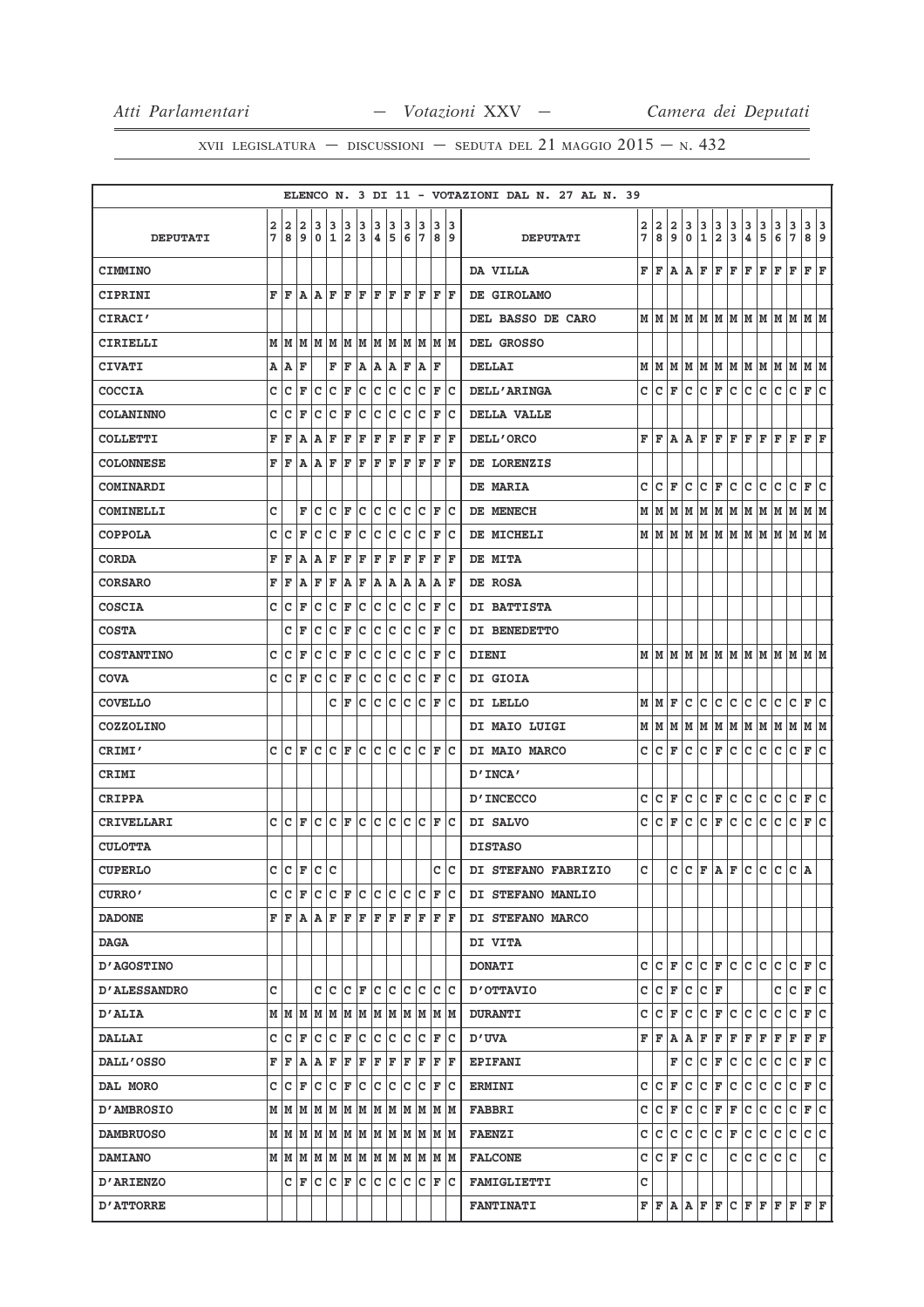|                     |        |           |                          |                         |        |                |        |        |        |        |                    |   |                                                                                                                                                                                                                                                                                                                                                                                                                                          | ELENCO N. 3 DI 11 - VOTAZIONI DAL N. 27 AL N. 39                                                                                                                                                                                                                                                                                                                                                                                                                                                               |                                                        |
|---------------------|--------|-----------|--------------------------|-------------------------|--------|----------------|--------|--------|--------|--------|--------------------|---|------------------------------------------------------------------------------------------------------------------------------------------------------------------------------------------------------------------------------------------------------------------------------------------------------------------------------------------------------------------------------------------------------------------------------------------|----------------------------------------------------------------------------------------------------------------------------------------------------------------------------------------------------------------------------------------------------------------------------------------------------------------------------------------------------------------------------------------------------------------------------------------------------------------------------------------------------------------|--------------------------------------------------------|
| <b>DEPUTATI</b>     | 2<br>7 | 2<br>l 8  | 2<br>و                   | 3<br>۱٥                 | 3<br>1 | 3<br>$\vert$ 2 | 3<br>3 | 3<br>4 | 3<br>5 | з<br>6 | 3                  | 3 | 13<br> 7 8 9                                                                                                                                                                                                                                                                                                                                                                                                                             | 2<br>$\begin{array}{c} 3 \\ 0 \end{array}$<br>$\frac{3}{1}$<br>$\frac{3}{2}$<br>$\frac{3}{3}$<br>$\frac{3}{4}$<br>$\frac{3}{5}$<br>$\frac{3}{7}$<br>2<br>$\mathbf{2}$<br>$\frac{3}{6}$<br>8<br>9<br>7<br><b>DEPUTATI</b>                                                                                                                                                                                                                                                                                       | $\begin{array}{c} 3 \\ 8 \end{array}$<br>$\frac{3}{9}$ |
| <b>CIMMINO</b>      |        |           |                          |                         |        |                |        |        |        |        |                    |   |                                                                                                                                                                                                                                                                                                                                                                                                                                          | F<br>F<br>Α<br>Α<br>F<br>F<br>F<br>F<br>F<br>F<br>F<br>DA VILLA                                                                                                                                                                                                                                                                                                                                                                                                                                                | F<br>F                                                 |
| CIPRINI             |        |           | $F F A A F F F F F F$    |                         |        |                |        |        |        |        | F F                |   | F  F                                                                                                                                                                                                                                                                                                                                                                                                                                     | DE GIROLAMO                                                                                                                                                                                                                                                                                                                                                                                                                                                                                                    |                                                        |
| <b>CIRACI'</b>      |        |           |                          |                         |        |                |        |        |        |        |                    |   |                                                                                                                                                                                                                                                                                                                                                                                                                                          | DEL BASSO DE CARO                                                                                                                                                                                                                                                                                                                                                                                                                                                                                              |                                                        |
| CIRIELLI            |        |           |                          |                         |        |                |        |        |        |        |                    |   | $M$   $M$   $M$   $M$   $M$   $M$   $M$   $M$   $M$   $M$   $M$   $M$   $M$                                                                                                                                                                                                                                                                                                                                                              | DEL GROSSO                                                                                                                                                                                                                                                                                                                                                                                                                                                                                                     |                                                        |
| <b>CIVATI</b>       |        | A   A   F |                          |                         | F F    |                |        |        |        |        | A A B F A F        |   |                                                                                                                                                                                                                                                                                                                                                                                                                                          | $M$   $M$   $M$   $M$   $M$   $M$   $M$   $M$   $M$   $M$   $M$   $M$   $M$<br><b>DELLAI</b>                                                                                                                                                                                                                                                                                                                                                                                                                   |                                                        |
| <b>COCCIA</b>       | c      | Ιc        | F                        | c                       | Ιc     | F              | lc.    | Ιc     | Iс     | Iс     | Iс                 | F | Ιc                                                                                                                                                                                                                                                                                                                                                                                                                                       | c<br>c<br>$\mathbf{C}$<br>F<br> c  <br>c<br>lc.<br>lc.<br><b>DELL'ARINGA</b><br>c<br>F                                                                                                                                                                                                                                                                                                                                                                                                                         | C F <br>lc.                                            |
| <b>COLANINNO</b>    | c      | Ιc        | F                        | Iс                      | ∣c     | F              | c      | c c    |        | lc.    | $ C $ $\mathbf{F}$ |   | Iс                                                                                                                                                                                                                                                                                                                                                                                                                                       | DELLA VALLE                                                                                                                                                                                                                                                                                                                                                                                                                                                                                                    |                                                        |
| <b>COLLETTI</b>     | F      | l F       | A                        | A                       | F      | F              | F      | F      | F      | F      | F                  | F | F                                                                                                                                                                                                                                                                                                                                                                                                                                        | F F F<br>F<br>F<br>DELL'ORCO<br>FF<br>Α<br>Α<br>F<br>F                                                                                                                                                                                                                                                                                                                                                                                                                                                         | F F                                                    |
| <b>COLONNESE</b>    |        | FF        |                          | $A $ $A $ $F$           |        | $F$ $F$        |        | F F    |        | F      | ΙF                 | F | ١F                                                                                                                                                                                                                                                                                                                                                                                                                                       | DE LORENZIS                                                                                                                                                                                                                                                                                                                                                                                                                                                                                                    |                                                        |
| <b>COMINARDI</b>    |        |           |                          |                         |        |                |        |        |        |        |                    |   |                                                                                                                                                                                                                                                                                                                                                                                                                                          | c<br> c <br> F C <br>c<br>lc.<br>c<br>F<br>c<br>c<br>c<br>DE MARIA                                                                                                                                                                                                                                                                                                                                                                                                                                             | F C                                                    |
| <b>COMINELLI</b>    | c      |           | F                        | lc                      | Ιc     | F              | lc.    | lc.    | Iс     | Iс     | Iс                 | F | ١c                                                                                                                                                                                                                                                                                                                                                                                                                                       | DE MENECH<br>$M$   $M$   $M$   $M$   $M$   $M$   $M$   $M$   $M$   $M$   $M$   $M$                                                                                                                                                                                                                                                                                                                                                                                                                             |                                                        |
| <b>COPPOLA</b>      | с      | Iс        | ΙF                       | Iс                      | lc.    | F              | lc.    | c c    |        | lc.    | $ C $ $\mathbf{F}$ |   | Ιc                                                                                                                                                                                                                                                                                                                                                                                                                                       | $M$   $M$   $M$   $M$   $M$   $M$   $M$   $M$   $M$   $M$   $M$   $M$   $M$<br>DE MICHELI                                                                                                                                                                                                                                                                                                                                                                                                                      |                                                        |
| <b>CORDA</b>        | F      | ΙF        | ١A                       | A                       | F      | F              | F      | F      | lF.    | F      | F                  | F | ΙF                                                                                                                                                                                                                                                                                                                                                                                                                                       | DE MITA                                                                                                                                                                                                                                                                                                                                                                                                                                                                                                        |                                                        |
| <b>CORSARO</b>      | F      | F         | ۱A                       | F                       | F      | A              | F      | A A    |        |        | A A                |   | A  F                                                                                                                                                                                                                                                                                                                                                                                                                                     | DE ROSA                                                                                                                                                                                                                                                                                                                                                                                                                                                                                                        |                                                        |
| <b>COSCIA</b>       | c      | Iс        | F                        | c                       | c      | F              | c      | c      | c      | Iс     | Ιc                 | F | Ιc                                                                                                                                                                                                                                                                                                                                                                                                                                       | DI BATTISTA                                                                                                                                                                                                                                                                                                                                                                                                                                                                                                    |                                                        |
| <b>COSTA</b>        |        | c         | F                        | c                       | c      | F              | c      | c      | c      | c      | c                  | F | ∣c                                                                                                                                                                                                                                                                                                                                                                                                                                       | DI BENEDETTO                                                                                                                                                                                                                                                                                                                                                                                                                                                                                                   |                                                        |
| <b>COSTANTINO</b>   | C      | lc        | ΙF                       | lc                      | c      | F              | ∣c     | c      | c      | lc     | lc                 | F | lc                                                                                                                                                                                                                                                                                                                                                                                                                                       | $M$   $M$   $M$   $M$   $M$   $M$   $M$   $M$   $M$   $M$   $M$   $M$   $M$<br><b>DIENI</b>                                                                                                                                                                                                                                                                                                                                                                                                                    |                                                        |
| <b>COVA</b>         | c      | Iс        | F                        | Iс                      | Ιc     | F              | c      | Ιc     | Iс     | Iс     | Iс                 | F | Ιc                                                                                                                                                                                                                                                                                                                                                                                                                                       | DI GIOIA                                                                                                                                                                                                                                                                                                                                                                                                                                                                                                       |                                                        |
| <b>COVELLO</b>      |        |           |                          |                         |        | C F            | lc.    | c c    |        |        | C C F              |   | Ιc                                                                                                                                                                                                                                                                                                                                                                                                                                       | c c<br>F<br>c<br>c<br> c <br>c<br>c<br>MMI<br>DI LELLO                                                                                                                                                                                                                                                                                                                                                                                                                                                         | $ c _F c$                                              |
| <b>COZZOLINO</b>    |        |           |                          |                         |        |                |        |        |        |        |                    |   |                                                                                                                                                                                                                                                                                                                                                                                                                                          | MM<br> M  M  M  M  M  M<br>DI MAIO LUIGI<br>MM<br>M                                                                                                                                                                                                                                                                                                                                                                                                                                                            | MM                                                     |
| <b>CRIMI'</b>       |        |           | C C F C C F C            |                         |        |                |        |        |        |        |                    |   | $ c c c c _F c$                                                                                                                                                                                                                                                                                                                                                                                                                          | F C<br> c c <br>c<br>c<br>DI MAIO MARCO<br>c<br>с<br>F<br>с<br>с                                                                                                                                                                                                                                                                                                                                                                                                                                               | F C                                                    |
| CRIMI               |        |           |                          |                         |        |                |        |        |        |        |                    |   |                                                                                                                                                                                                                                                                                                                                                                                                                                          | D'INCA'                                                                                                                                                                                                                                                                                                                                                                                                                                                                                                        |                                                        |
| CRIPPA              |        |           |                          |                         |        |                |        |        |        |        |                    |   |                                                                                                                                                                                                                                                                                                                                                                                                                                          | $\mathsf{C}$<br>$ c _F c c c c c _F c$<br>C F<br>c<br><b>D'INCECCO</b>                                                                                                                                                                                                                                                                                                                                                                                                                                         |                                                        |
| <b>CRIVELLARI</b>   |        | c Ic      | lF.                      | $ C C $ $\mathbf{F} C $ |        |                |        |        | c c    |        |                    |   | IC IC IF IC                                                                                                                                                                                                                                                                                                                                                                                                                              | c<br>c<br>$C \mid F \mid C$<br> c c<br> c c <br>c<br>F<br>DI SALVO                                                                                                                                                                                                                                                                                                                                                                                                                                             | F C                                                    |
| <b>CULOTTA</b>      |        |           |                          |                         |        |                |        |        |        |        |                    |   |                                                                                                                                                                                                                                                                                                                                                                                                                                          | <b>DISTASO</b>                                                                                                                                                                                                                                                                                                                                                                                                                                                                                                 |                                                        |
| <b>CUPERLO</b>      |        |           | $c c _{F} c c$           |                         |        |                |        |        |        |        |                    |   | c c                                                                                                                                                                                                                                                                                                                                                                                                                                      | $C\left[ \begin{array}{cc} c & c \\ c & d \end{array} \right] = \left[ \begin{array}{cc} c & c \\ c & c \end{array} \right]$<br>$\mathbf{C}$<br>DI STEFANO FABRIZIO                                                                                                                                                                                                                                                                                                                                            | A                                                      |
| <b>CURRO'</b>       |        |           |                          |                         |        |                |        |        |        |        |                    |   | C C F C C F C C C C C F C                                                                                                                                                                                                                                                                                                                                                                                                                | DI STEFANO MANLIO                                                                                                                                                                                                                                                                                                                                                                                                                                                                                              |                                                        |
| <b>DADONE</b>       |        |           |                          |                         |        |                |        |        |        |        |                    |   | $\mathbf{F} \, \vert \, \mathbf{F} \, \vert \, \mathbf{A} \, \vert \, \mathbf{A} \, \vert \, \mathbf{F} \, \vert \, \mathbf{F} \, \vert \, \mathbf{F} \, \vert \, \mathbf{F} \, \vert \, \mathbf{F} \, \vert \, \mathbf{F} \, \vert \, \mathbf{F} \, \vert \, \mathbf{F} \, \vert \, \mathbf{F} \, \vert \, \mathbf{F} \, \vert \, \mathbf{F} \, \vert \, \mathbf{F} \, \vert \, \mathbf{F} \, \vert \, \mathbf{F} \, \vert \, \mathbf{$ | DI STEFANO MARCO                                                                                                                                                                                                                                                                                                                                                                                                                                                                                               |                                                        |
| <b>DAGA</b>         |        |           |                          |                         |        |                |        |        |        |        |                    |   |                                                                                                                                                                                                                                                                                                                                                                                                                                          | <b>DI VITA</b>                                                                                                                                                                                                                                                                                                                                                                                                                                                                                                 |                                                        |
| <b>D'AGOSTINO</b>   |        |           |                          |                         |        |                |        |        |        |        |                    |   |                                                                                                                                                                                                                                                                                                                                                                                                                                          | $C C F C C F C C C C C F C$<br><b>DONATI</b>                                                                                                                                                                                                                                                                                                                                                                                                                                                                   |                                                        |
| <b>D'ALESSANDRO</b> | c      |           |                          |                         |        |                |        |        |        |        |                    |   | c c c c F c c c c c c c                                                                                                                                                                                                                                                                                                                                                                                                                  | C C F C C F<br>c<br>OTTAVIO                                                                                                                                                                                                                                                                                                                                                                                                                                                                                    | $C$ $F$ $C$                                            |
| <b>D'ALIA</b>       |        |           |                          |                         |        |                |        |        |        |        |                    |   | $M$   $M$   $M$   $M$   $M$   $M$   $M$   $M$   $M$   $M$   $M$   $M$   $M$                                                                                                                                                                                                                                                                                                                                                              | c<br>C F C C C<br>c  c  <br>F<br>с<br><b>DURANTI</b>                                                                                                                                                                                                                                                                                                                                                                                                                                                           | $C$ $F$ $C$                                            |
| <b>DALLAI</b>       |        |           |                          |                         |        |                |        |        |        |        |                    |   | C C F C C F C C C C C F C                                                                                                                                                                                                                                                                                                                                                                                                                | $\mathbf{F} \left  \mathbf{F} \left  \mathbf{A} \left  \mathbf{A} \left  \mathbf{F} \left  \mathbf{F} \left  \mathbf{F} \left  \mathbf{F} \left  \mathbf{F} \left  \mathbf{F} \right. \right  \mathbf{F} \right. \right. \right. \right. \right.$<br>ט' ס                                                                                                                                                                                                                                                      |                                                        |
| <b>DALL'OSSO</b>    |        | FF        |                          |                         |        |                |        |        |        |        |                    |   |                                                                                                                                                                                                                                                                                                                                                                                                                                          | $ {\tt C}\, {\tt F}\, {\tt C}\, {\tt C}\, {\tt C}\, {\tt C}\, {\tt F}\, {\tt C}\, $<br>c<br>F.<br><b>EPIFANI</b>                                                                                                                                                                                                                                                                                                                                                                                               |                                                        |
| DAL MORO            |        |           | C  C F  C C F  C C C C C |                         |        |                |        |        |        |        |                    |   | F C                                                                                                                                                                                                                                                                                                                                                                                                                                      | C F C C C C<br>C C <br>F<br>с<br><b>ERMINI</b>                                                                                                                                                                                                                                                                                                                                                                                                                                                                 | $ C $ $\mathbf{F}$ $ C $                               |
| <b>D'AMBROSIO</b>   |        |           |                          |                         |        |                |        |        |        |        |                    |   |                                                                                                                                                                                                                                                                                                                                                                                                                                          | C C F <br>$ \mathbf{c} $<br> C F F C C C C F C<br><b>FABBRI</b>                                                                                                                                                                                                                                                                                                                                                                                                                                                |                                                        |
| <b>DAMBRUOSO</b>    |        |           |                          |                         |        |                |        |        |        |        |                    |   | $M$   $M$   $M$   $M$   $M$   $M$   $M$   $M$   $M$   $M$   $M$   $M$                                                                                                                                                                                                                                                                                                                                                                    | C C C C C F C C C C C C C<br><b>FAENZI</b>                                                                                                                                                                                                                                                                                                                                                                                                                                                                     |                                                        |
| <b>DAMIANO</b>      |        |           |                          |                         |        |                |        |        |        |        |                    |   | $M$   $M$   $M$   $M$   $M$   $M$   $M$   $M$   $M$   $M$   $M$   $M$   $M$                                                                                                                                                                                                                                                                                                                                                              | C C F C C<br>c c c c c<br><b>FALCONE</b>                                                                                                                                                                                                                                                                                                                                                                                                                                                                       | c                                                      |
| <b>D'ARIENZO</b>    |        |           |                          |                         |        |                |        |        |        |        |                    |   | C F C C F C C C C C F C                                                                                                                                                                                                                                                                                                                                                                                                                  | c<br><b>FAMIGLIETTI</b>                                                                                                                                                                                                                                                                                                                                                                                                                                                                                        |                                                        |
| <b>D'ATTORRE</b>    |        |           |                          |                         |        |                |        |        |        |        |                    |   |                                                                                                                                                                                                                                                                                                                                                                                                                                          | $\mathbf{F} \left  \mathbf{F} \right. \left  \mathbf{A} \right. \left  \mathbf{F} \right. \left  \mathbf{F} \right. \left  \mathbf{C} \right. \left  \mathbf{F} \right. \left  \mathbf{F} \right. \left  \mathbf{F} \right. \left  \mathbf{F} \right. \left  \mathbf{F} \right. \left  \mathbf{F} \right. \left  \mathbf{F} \right. \left  \mathbf{F} \right. \left  \mathbf{F} \right. \left  \mathbf{F} \right. \left  \mathbf{F} \right. \left  \mathbf{F} \right. \left  \mathbf{F} \$<br><b>FANTINATI</b> |                                                        |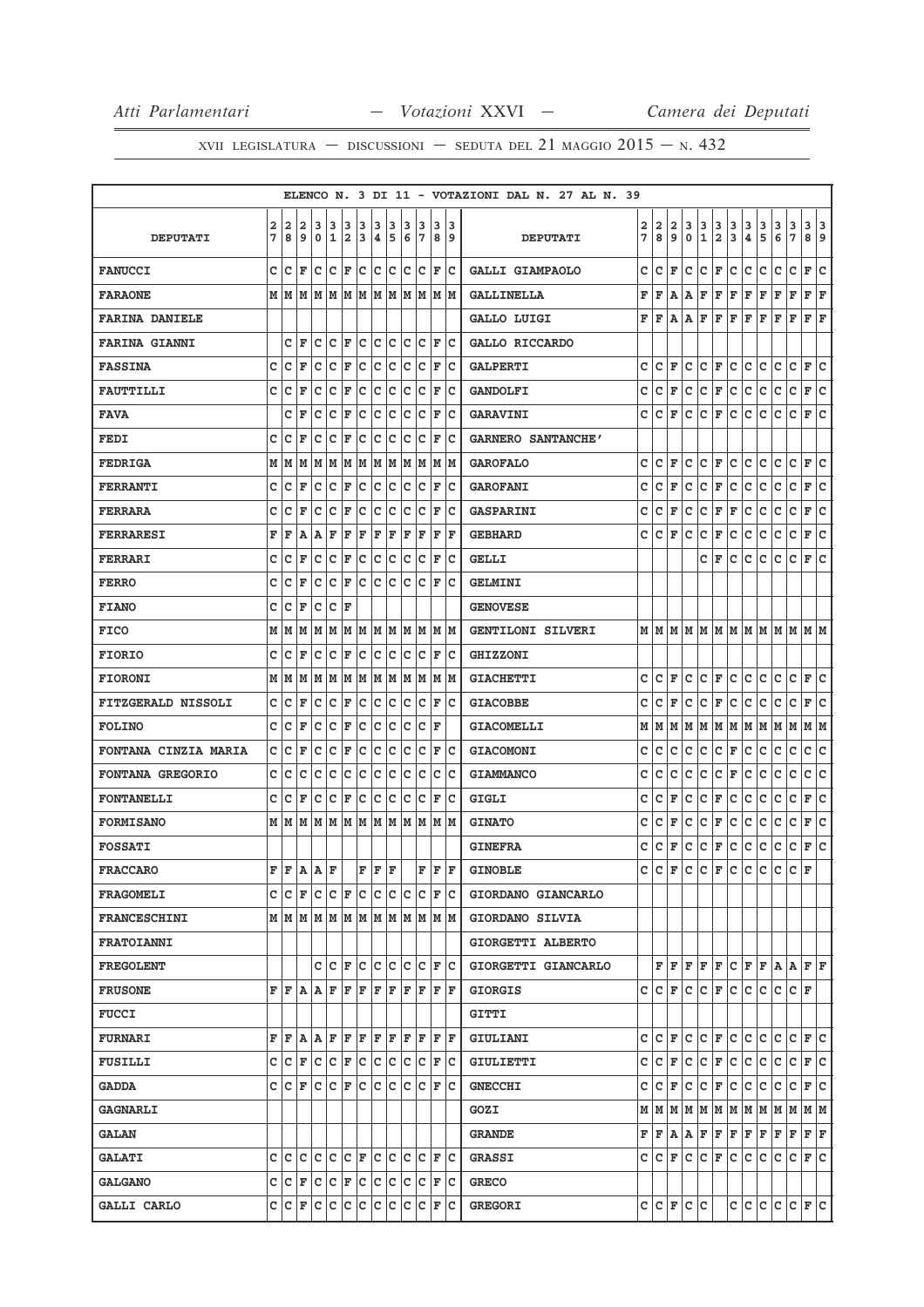|                             |   |                    |           |                                             |                              |                    |     |     |     |     |       |                        |      | ELENCO N. 3 DI 11 - VOTAZIONI DAL N. 27 AL N. 39 |   |       |   |     |              |                          |                                                                                                                      |     |     |     |                      |                                                                                                                                                                                                            |
|-----------------------------|---|--------------------|-----------|---------------------------------------------|------------------------------|--------------------|-----|-----|-----|-----|-------|------------------------|------|--------------------------------------------------|---|-------|---|-----|--------------|--------------------------|----------------------------------------------------------------------------------------------------------------------|-----|-----|-----|----------------------|------------------------------------------------------------------------------------------------------------------------------------------------------------------------------------------------------------|
|                             | 2 | 2                  | 2         | 3                                           | 3                            | 3                  | 3   | 3   | 3   | 3   | 3     | з                      | 13   |                                                  | 2 | 2     | 2 | 3   | 3            | з                        | 3                                                                                                                    | 3   | 3   | 3   | 3                    | 3 3                                                                                                                                                                                                        |
| <b>DEPUTATI</b>             | 7 | 8                  | و ا       | 0                                           | 1                            | 2                  | 3   | ∣4. | 5   | 6   | 17    |                        | 89   | <b>DEPUTATI</b>                                  | 7 | 8     | 9 | 0   | $\mathbf{1}$ | 2                        | 3                                                                                                                    | 4   | 5   | 6   | 7                    | 8 9                                                                                                                                                                                                        |
| <b>FANUCCI</b>              | c | $ C $ $\mathbf{F}$ |           |                                             | C C F                        |                    | Iс  | c c |     |     | c c   | lF.                    | Ιc   | GALLI GIAMPAOLO                                  | c | с     | F | c   | Iс           | F                        | c                                                                                                                    | с   | c   | с   | c                    | F<br>Iс                                                                                                                                                                                                    |
| <b>FARAONE</b>              |   |                    |           |                                             |                              |                    |     |     |     |     |       |                        |      | <b>GALLINELLA</b>                                | F | F     | A | Α   | F            | F                        | F                                                                                                                    | F   | F   | F   | F                    | F F                                                                                                                                                                                                        |
| <b>FARINA DANIELE</b>       |   |                    |           |                                             |                              |                    |     |     |     |     |       |                        |      | <b>GALLO LUIGI</b>                               | F | F     | A | Α   | F            | F                        | F                                                                                                                    | F   | F   | F   | F<br>F               | F                                                                                                                                                                                                          |
| <b>FARINA GIANNI</b>        |   |                    | CF        |                                             | $ C C $ $\mathbf{F} C $      |                    |     | c c |     |     |       | $ C C $ F              | lc.  | GALLO RICCARDO                                   |   |       |   |     |              |                          |                                                                                                                      |     |     |     |                      |                                                                                                                                                                                                            |
| <b>FASSINA</b>              | c | Ιc                 | F         | Iс                                          | c                            | F                  | с   | с   | c   | с   | c     | F                      | Iс   | <b>GALPERTI</b>                                  | c | c     | F | с   | с            | F                        | с                                                                                                                    | с   | с   | с   | с<br>F               | c                                                                                                                                                                                                          |
| <b>FAUTTILLI</b>            | C | c                  | ΙF        | Iс                                          | c                            | F                  | c   | c   | c   | c   | Ιc    | F                      | lc   | <b>GANDOLFI</b>                                  | c | C F   |   | c   | $ C $ F      |                          | lc.                                                                                                                  | c.  | c   | c   | c                    | F C                                                                                                                                                                                                        |
| <b>FAVA</b>                 |   | C                  | F         | Iс                                          | lc                           | F                  | c   | lc  | lc  | c   | Ιc    | F                      | Iс   | <b>GARAVINI</b>                                  | c | c     | F | c   | c            | F                        | c                                                                                                                    | c   | c   | c   | c                    | lc.<br>F                                                                                                                                                                                                   |
| <b>FEDI</b>                 | c | ١c                 | F         | Iс                                          | lc                           | F                  | c   | c   | Iс  | c   | Ιc    | F                      | Ιc   | <b>GARNERO SANTANCHE'</b>                        |   |       |   |     |              |                          |                                                                                                                      |     |     |     |                      |                                                                                                                                                                                                            |
| <b>FEDRIGA</b>              |   |                    |           | $M$ $ M$ $ M$ $ M$ $ M$ $ M$ $ M$ $ M$ $ M$ |                              |                    |     |     |     |     | M M   |                        | M M  | <b>GAROFALO</b>                                  | c | c     | F | с   | c            | F                        | c                                                                                                                    | c   | c   | с   | c<br>F               | lc.                                                                                                                                                                                                        |
| <b>FERRANTI</b>             | c | Ιc                 | ΙF        | Iс                                          | Ιc                           | F                  | Iс  | lc. | Iс  | c   | Iс    | F                      | Ιc   | <b>GAROFANI</b>                                  | c | c     | F | с   | c            | F                        | с                                                                                                                    | с   | c   | с   | с<br>F               | Iс                                                                                                                                                                                                         |
| <b>FERRARA</b>              | с | Ιc                 | F         | Iс                                          | Ιc                           | F                  | c   | c   | Iс  | c   | Iс    | F                      | Iс   | <b>GASPARINI</b>                                 | с | с     | F | с   | с            | F                        | F                                                                                                                    | с   | с   | с   | c                    | c<br>F                                                                                                                                                                                                     |
| <b>FERRARESI</b>            | F | ΙF                 | Α         | ١A.                                         | F                            | F                  | F   | F   | F   | F   | F     | F                      | F    | <b>GEBHARD</b>                                   | с | с     | F | с   | с            | F                        | с                                                                                                                    | с   | с   | с   | с<br>F               | c                                                                                                                                                                                                          |
| FERRARI                     | c | Ιc                 | ΙF        | Iс                                          | c                            | F                  | c   | c   | c   | c   | Ιc    | F                      | lc   | <b>GELLI</b>                                     |   |       |   |     | c            | ΙF                       | c                                                                                                                    | c   | c   | c   | $\mathbf{C}$<br>F    | lc.                                                                                                                                                                                                        |
| <b>FERRO</b>                | C | c                  | F         | Iс                                          | lc                           | F                  | lc. | Ιc  | Iс  | lc. | lc    | ΙF                     | Ιc   | <b>GELMINI</b>                                   |   |       |   |     |              |                          |                                                                                                                      |     |     |     |                      |                                                                                                                                                                                                            |
| <b>FIANO</b>                | C | lc                 | F         | Iс                                          | Iс                           | ΙF                 |     |     |     |     |       |                        |      | <b>GENOVESE</b>                                  |   |       |   |     |              |                          |                                                                                                                      |     |     |     |                      |                                                                                                                                                                                                            |
| <b>FICO</b>                 |   |                    | M   M   M |                                             | M  M  M  M  M  M  M  M       |                    |     |     |     |     |       |                        | M M  | <b>GENTILONI SILVERI</b>                         |   |       |   |     |              |                          |                                                                                                                      |     |     |     |                      | $M$   $M$   $M$   $M$   $M$   $M$   $M$   $M$   $M$   $M$   $M$   $M$   $M$                                                                                                                                |
| <b>FIORIO</b>               | c | lc                 | F         | lc                                          | lc                           | F                  | c   | Iс  | с   | c   | c     | F                      | Ιc   | <b>GHIZZONI</b>                                  |   |       |   |     |              |                          |                                                                                                                      |     |     |     |                      |                                                                                                                                                                                                            |
| <b>FIORONI</b>              |   | M   M              | M         |                                             | MM                           | M                  | M   |     | M M |     | M  M  |                        | M  M | <b>GIACHETTI</b>                                 | c | c     | F | c   | c            | F                        | c                                                                                                                    | с   | c   | с   | с                    | F C                                                                                                                                                                                                        |
| <b>FITZGERALD NISSOLI</b>   | C | C                  | ΙF        | Iс                                          | c                            | F                  | c   | c   | c   | c   | Ιc    | F                      | Ιc   | <b>GIACOBBE</b>                                  | c | c     | F | c   | с            | F                        | с                                                                                                                    | с   | с   | c   | с                    | F<br>c                                                                                                                                                                                                     |
| <b>FOLINO</b>               | c | Iс                 | F         | Iс                                          | Ιc                           | F                  | lc. | Ιc  | Iс  | c   | Ιc    | ΙF                     |      | <b>GIACOMELLI</b>                                |   | MM    | M |     |              | M   M   M   M            |                                                                                                                      | M M |     | M M |                      | M  M                                                                                                                                                                                                       |
| <b>FONTANA CINZIA MARIA</b> | c | Iс                 | F         | Iс                                          | Iс                           | F                  | c   | c   | с   | c   | Iс    | F                      | Iс   | <b>GIACOMONI</b>                                 | с | с     | c | с   | с            | c                        | F                                                                                                                    | с   | с   | с   | $\mathbf C$          | c<br> c                                                                                                                                                                                                    |
| <b>FONTANA GREGORIO</b>     | c | lc                 | c         | Iс                                          | Ιc                           | Iс                 | Iс  | Iс  | lc. | c   | Ιc    | c                      | Ιc   | <b>GIAMMANCO</b>                                 | c | c     | c | c   | c            | с                        | F                                                                                                                    | c   | c   | с   | c                    | c<br>lc.                                                                                                                                                                                                   |
| <b>FONTANELLI</b>           | c | Iс                 | ΙF        | lc.                                         | lc.                          | ΙF                 | lc. | lc. | Iс  | Iс  | Iс    | F                      | lc   | <b>GIGLI</b>                                     | с | c     | F | с   | с            | F                        | c                                                                                                                    | c   | с   | с   | $\mathbf C$<br>F     | lc.                                                                                                                                                                                                        |
| <b>FORMISANO</b>            |   |                    |           | M   M   M   M   M                           |                              |                    | MMM |     |     | lм  | lм    | lм                     | lм   | <b>GINATO</b>                                    | с | с     | F | c   | с            | F                        | с                                                                                                                    | с   | с   | с   | с<br>F               | Iс                                                                                                                                                                                                         |
| <b>FOSSATI</b>              |   |                    |           |                                             |                              |                    |     |     |     |     |       |                        |      | <b>GINEFRA</b>                                   | с | с     | F | с   | с            | F                        | c                                                                                                                    | c   | c   | с   | с                    | lc.<br>F                                                                                                                                                                                                   |
| <b>FRACCARO</b>             | F | F                  | ۱A.       | A                                           | ΙF                           |                    | F   | lF. | l F |     | F     | l F                    | lF.  | <b>GINOBLE</b>                                   | c | c     | F | c   | c            | F                        | c                                                                                                                    | c.  | c   | c   | c<br>F               |                                                                                                                                                                                                            |
| <b>FRAGOMELI</b>            |   |                    |           | c c F c c F c c c c                         |                              |                    |     |     |     |     |       | $ C C $ $\mathbf{F} C$ |      | GIORDANO GIANCARLO                               |   |       |   |     |              |                          |                                                                                                                      |     |     |     |                      |                                                                                                                                                                                                            |
| <b>FRANCESCHINI</b>         |   |                    |           |                                             |                              |                    |     |     |     |     |       |                        |      | GIORDANO SILVIA                                  |   |       |   |     |              |                          |                                                                                                                      |     |     |     |                      |                                                                                                                                                                                                            |
| FRATOIANNI                  |   |                    |           |                                             |                              |                    |     |     |     |     |       |                        |      | GIORGETTI ALBERTO                                |   |       |   |     |              |                          |                                                                                                                      |     |     |     |                      |                                                                                                                                                                                                            |
| <b>FREGOLENT</b>            |   |                    |           |                                             | c  c  F  c  c  c  c  c  F  c |                    |     |     |     |     |       |                        |      | GIORGETTI GIANCARLO                              |   |       |   |     |              |                          |                                                                                                                      |     |     |     |                      | $\mathbf{F} \,   \, \mathbf{F} \,   \, \mathbf{F} \,   \, \mathbf{F} \,   \, \mathbf{C} \,   \, \mathbf{F} \,   \, \mathbf{F} \,   \, \mathbf{A} \,   \, \mathbf{A} \,   \, \mathbf{F} \,   \, \mathbf{F}$ |
| <b>FRUSONE</b>              |   | FF                 |           | A A F F F                                   |                              |                    |     | ΙF  | ΙF  | F   | lF.   | F                      | ΙF   | <b>GIORGIS</b>                                   |   | C C F |   | с   | IC.          | F                        | lc.                                                                                                                  | С   | c   | с   | $ {\bf C}  {\bf F} $ |                                                                                                                                                                                                            |
| <b>FUCCI</b>                |   |                    |           |                                             |                              |                    |     |     |     |     |       |                        |      | GITTI                                            |   |       |   |     |              |                          |                                                                                                                      |     |     |     |                      |                                                                                                                                                                                                            |
| <b>FURNARI</b>              |   |                    |           | F F A A F F F F F F                         |                              |                    |     |     |     |     | F  F  | F                      | ١F   | GIULIANI                                         |   | C C F |   | c   |              | $ C $ $\mathbf{F}$ $ C $ |                                                                                                                      | c c |     | с   |                      | $ c _F _C$                                                                                                                                                                                                 |
| <b>FUSILLI</b>              |   |                    |           | C C F C C F C C C                           |                              |                    |     |     |     |     | c c   |                        | F C  | GIULIETTI                                        |   | C C F |   | c   |              | $ c _F c$                |                                                                                                                      | c.  | c   | c   |                      | $ c _F c$                                                                                                                                                                                                  |
| <b>GADDA</b>                |   |                    |           | C C F C C F C C C                           |                              |                    |     |     |     |     | lc lc |                        | F C  | <b>GNECCHI</b>                                   |   | C C F |   | lc. | c.           | F                        | c                                                                                                                    | lc. | lc. | c   | c                    | F C                                                                                                                                                                                                        |
| <b>GAGNARLI</b>             |   |                    |           |                                             |                              |                    |     |     |     |     |       |                        |      | GOZI                                             |   | M   M | M |     |              |                          | M   M   M   M   M                                                                                                    |     |     | M   | M                    | MM                                                                                                                                                                                                         |
| <b>GALAN</b>                |   |                    |           |                                             |                              |                    |     |     |     |     |       |                        |      | <b>GRANDE</b>                                    |   |       |   |     |              |                          | $\mathbf{F}   \mathbf{F}   \mathbf{A}   \mathbf{A}   \mathbf{F}   \mathbf{F}   \mathbf{F}   \mathbf{F}   \mathbf{F}$ |     |     | F F |                      | F F                                                                                                                                                                                                        |
| <b>GALATI</b>               |   | c ic ic            |           | c c                                         |                              | $ C $ $\mathbf{F}$ |     | c c |     | lc. | lc    | F                      | lc.  | <b>GRASSI</b>                                    |   | c Ic  | F | c   | с            | F                        | с                                                                                                                    | c   | c   | с   | IС                   | F C                                                                                                                                                                                                        |
| <b>GALGANO</b>              |   |                    |           | $C  C $ $F  C $ $C  C $ $C  C $             |                              |                    |     |     |     |     | c c   |                        | F C  | <b>GRECO</b>                                     |   |       |   |     |              |                          |                                                                                                                      |     |     |     |                      |                                                                                                                                                                                                            |
| <b>GALLI CARLO</b>          |   |                    |           | C  C F  C C  C C  C C  C C  F               |                              |                    |     |     |     |     |       |                        | c    | <b>GREGORI</b>                                   |   |       |   |     | C C F C C    |                          |                                                                                                                      |     |     |     |                      | c c c c c F c                                                                                                                                                                                              |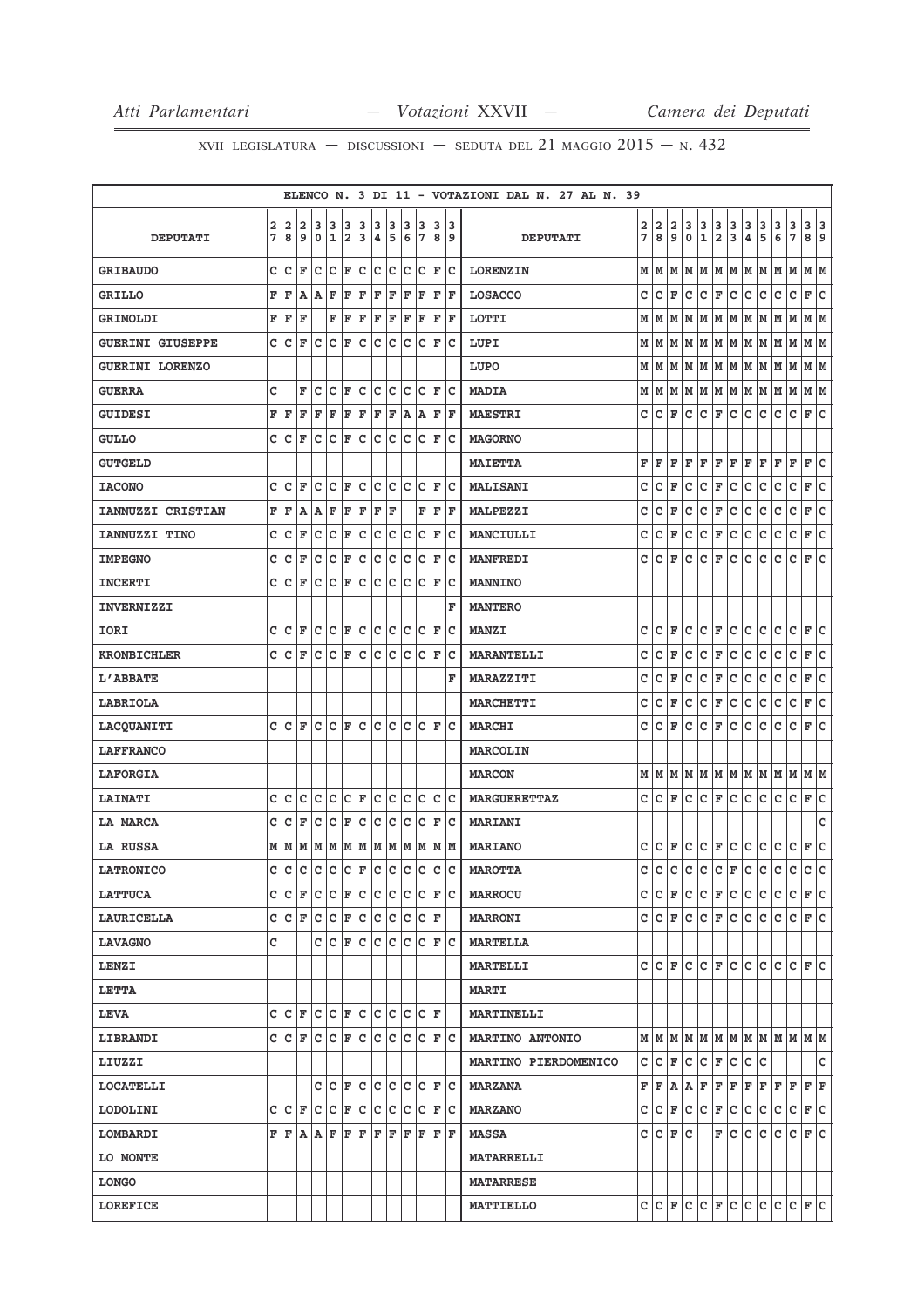|                         |                         |       |     |                            |             |     |             |     |             |     |       |                 |    |    | ELENCO N. 3 DI 11 - VOTAZIONI DAL N. 27 AL N. 39 |   |         |                         |              |                   |               |               |                                                                                                                                                                  |               |                                                                       |                          |                              |     |
|-------------------------|-------------------------|-------|-----|----------------------------|-------------|-----|-------------|-----|-------------|-----|-------|-----------------|----|----|--------------------------------------------------|---|---------|-------------------------|--------------|-------------------|---------------|---------------|------------------------------------------------------------------------------------------------------------------------------------------------------------------|---------------|-----------------------------------------------------------------------|--------------------------|------------------------------|-----|
|                         | $\overline{\mathbf{2}}$ | 2     | 2   | 3                          | 3           | 3   | 3           | 3   | 3           | з   | 3     | 3               |    | 3  |                                                  | 2 | 2       | $\overline{\mathbf{2}}$ | 3            |                   |               |               |                                                                                                                                                                  |               | 3                                                                     |                          | 3 3                          |     |
| <b>DEPUTATI</b>         | 7                       | 8     | 9   | $\mathbf 0$                | 1           | 2   | 3           | ∣4. | 5           | 6   | 17    |                 | 89 |    | <b>DEPUTATI</b>                                  | 7 | 8       | 9                       | $\mathbf 0$  | $\frac{3}{1}$     | $\frac{3}{2}$ | $\frac{3}{3}$ | $\frac{3}{4}$                                                                                                                                                    | $\frac{3}{5}$ | 6                                                                     | $\frac{3}{7}$            | 89                           |     |
| <b>GRIBAUDO</b>         | c                       | Iс    | F   | c                          | lc.         | F   | c           | c   | lc          | c   | Iс    | F               |    | lc | <b>LORENZIN</b>                                  |   | MM      | M                       | lм           | M                 | M   M         |               | M                                                                                                                                                                | M             | M                                                                     | M                        | MM                           |     |
| <b>GRILLO</b>           | $\mathbf F$             | F     | A   | A                          | F           | F   | F           | F   | F           | F   | F     | F               | F  |    | <b>LOSACCO</b>                                   | c | lc.     | F                       | lc.          | c                 | F C           |               | c.                                                                                                                                                               | lc.           | lc.                                                                   | $\mathbf c$              | F C                          |     |
| <b>GRIMOLDI</b>         | F                       | F     | F   |                            | F           | F   | F           | F   | F           | F   | F     | F               | ΙF |    | <b>LOTTI</b>                                     |   | MM      |                         | MM           |                   | M   M   M     |               | M                                                                                                                                                                | M             | M                                                                     | M                        | MM                           |     |
| <b>GUERINI GIUSEPPE</b> | C                       | c     | F   | lc                         | $\mathbf c$ | l F | C           | C   | lc          | C   | lc    | F               |    | lc | LUPI                                             |   | м∣м     |                         | MM           |                   | M M M         |               | M                                                                                                                                                                | M             | M                                                                     | M                        | M  M                         |     |
| <b>GUERINI LORENZO</b>  |                         |       |     |                            |             |     |             |     |             |     |       |                 |    |    | LUPO                                             | М | lм      |                         |              |                   |               |               |                                                                                                                                                                  |               | м м м м м м м м                                                       |                          | MM                           |     |
| <b>GUERRA</b>           | C                       |       | F   | c                          | c           | F   | c           | c   | lc          | c   | Ιc    | F               | lc |    | <b>MADIA</b>                                     |   |         |                         |              |                   |               |               |                                                                                                                                                                  |               | $M$   $M$   $M$   $M$   $M$   $M$   $M$   $M$   $M$   $M$             |                          | MM                           |     |
| <b>GUIDESI</b>          | F                       | ΙF    | F   | F                          | F           | F   | F           | F   | F           | A   | ۱A.   | F               | ΙF |    | <b>MAESTRI</b>                                   | c | lc.     | F                       | lc.          | lc.               | F C           |               | c.                                                                                                                                                               | lc.           | lc.                                                                   | lc.                      | F C                          |     |
| <b>GULLO</b>            | C                       | lc    | F   | c                          | c           | F   | c           | Ιc  | Iс          | c   | lc    | F               |    | lc | <b>MAGORNO</b>                                   |   |         |                         |              |                   |               |               |                                                                                                                                                                  |               |                                                                       |                          |                              |     |
| <b>GUTGELD</b>          |                         |       |     |                            |             |     |             |     |             |     |       |                 |    |    | <b>MAIETTA</b>                                   | F | F       | F                       | F            | F                 | F             | F             | F                                                                                                                                                                | ΙF            | F                                                                     | F                        | F                            | lc  |
| <b>IACONO</b>           | c                       | c     | l F | c                          | lc.         | F   | lc.         | C   | lc          | C   | lc    | F               | lc |    | <b>MALISANI</b>                                  | c | c       | F                       | c            | c                 | F             | c             | c                                                                                                                                                                | c             | с                                                                     | c                        | F                            | c   |
| IANNUZZI CRISTIAN       | F                       | F     | A   | Α                          | F           | F   | F           | F   | l F         |     | F     | F               | ١F |    | <b>MALPEZZI</b>                                  | c | c       | F                       | $\mathtt{C}$ | c                 | F             | c             | $\mathtt{C}$                                                                                                                                                     | c             | C                                                                     | $\mathtt{C}$             | F                            | c   |
| IANNUZZI TINO           | c                       | C     | F   | C                          | c           | F   | c           | c   | c           | c   | lc    | F               | lc |    | <b>MANCIULLI</b>                                 | C | c       | F                       | $\mathtt{C}$ | c                 | F             | c             | c                                                                                                                                                                | c             | c                                                                     | $\mathtt{C}$             | F                            | c   |
| <b>IMPEGNO</b>          | C                       | c     | F   | c                          | c           | F   | c           | c   | Iс          | c   | Ιc    | F               |    | lc | <b>MANFREDI</b>                                  | c | lc.     | F                       | lc.          | c                 | F             | lc.           | c                                                                                                                                                                | c             | с                                                                     | c                        | F                            | lc  |
| <b>INCERTI</b>          | C                       | lc.   | F   | lc                         | lc.         | F   | c           | lc  | lc          | lc. | lc    | l F             | lc |    | <b>MANNINO</b>                                   |   |         |                         |              |                   |               |               |                                                                                                                                                                  |               |                                                                       |                          |                              |     |
| <b>INVERNIZZI</b>       |                         |       |     |                            |             |     |             |     |             |     |       |                 |    | F  | <b>MANTERO</b>                                   |   |         |                         |              |                   |               |               |                                                                                                                                                                  |               |                                                                       |                          |                              |     |
| IORI                    | C                       | lc.   | F   | lc.                        | c           | F   | lc.         | lc. | c           | lc. | lc    | ΙF              |    | Ιc | <b>MANZI</b>                                     | c | C F     |                         | c            | c                 | F             | lc.           | lc.                                                                                                                                                              | lc.           | c                                                                     | $\mathbf c$              | F                            | lc  |
| <b>KRONBICHLER</b>      | C                       | c     | F   | c                          | C           | F   | c           | c   | Iс          | c   | lc    | F               |    | Ιc | <b>MARANTELLI</b>                                | c | c       | F                       | c            | c                 | F             | c             | c                                                                                                                                                                | c             | c                                                                     | c                        | F                            | lc. |
| L'ABBATE                |                         |       |     |                            |             |     |             |     |             |     |       |                 |    | F  | <b>MARAZZITI</b>                                 | c | c       | F                       | $\mathtt{C}$ | c                 | F             | c             | $\mathtt{C}$                                                                                                                                                     | c             | C                                                                     | $\mathbf C$              | F                            | c   |
| LABRIOLA                |                         |       |     |                            |             |     |             |     |             |     |       |                 |    |    | <b>MARCHETTI</b>                                 | c | c       | F                       | c            | c                 | F             | c             | c                                                                                                                                                                | lc.           | с                                                                     | $\mathbf c$              | F                            | c   |
| <b>LACQUANITI</b>       |                         | c Ic  | ΙF  | lc                         | Iс          | F   | c           | Ιc  | lc          | lc. | lc    | F               | lc |    | <b>MARCHI</b>                                    | c | lc.     | F                       | lc.          | lc.               | F             | lc.           | c                                                                                                                                                                | c             | с                                                                     | c                        | F                            | c   |
| <b>LAFFRANCO</b>        |                         |       |     |                            |             |     |             |     |             |     |       |                 |    |    | <b>MARCOLIN</b>                                  |   |         |                         |              |                   |               |               |                                                                                                                                                                  |               |                                                                       |                          |                              |     |
| <b>LAFORGIA</b>         |                         |       |     |                            |             |     |             |     |             |     |       |                 |    |    | <b>MARCON</b>                                    |   | MM      |                         | M M          |                   |               |               | M   M   M   M                                                                                                                                                    |               | M                                                                     | M                        | M  M                         |     |
| <b>LAINATI</b>          | c                       | lc    | c   | lc.                        | lc.         | lc. | F           | lc. | c           | lc. | lc    | lc.             | c  |    | <b>MARGUERETTAZ</b>                              | c | $ C $ F |                         | lc.          | $ c _F c$         |               |               | c.                                                                                                                                                               | lc.           | lc.                                                                   | lc.                      | F C                          |     |
| LA MARCA                | c                       | c     | F   | c                          | c           | F   | c           | c   | c           | C   | Ιc    | F               | lc |    | <b>MARIANI</b>                                   |   |         |                         |              |                   |               |               |                                                                                                                                                                  |               |                                                                       |                          |                              | c   |
| <b>LA RUSSA</b>         |                         |       |     | м м м м м м                |             |     |             | MM  |             |     | MM    |                 | MM |    | <b>MARIANO</b>                                   |   |         |                         |              | $c c _F c c _F c$ |               |               | c c                                                                                                                                                              |               | c                                                                     | c.                       | F C                          |     |
| <b>LATRONICO</b>        | c                       | c     |     | c c c c  <sub>F</sub>  c c |             |     |             |     |             | c   | lc    | c               |    | lc | <b>MAROTTA</b>                                   |   |         |                         |              |                   |               |               |                                                                                                                                                                  |               |                                                                       |                          | c c                          |     |
| <b>LATTUCA</b>          |                         | C C F |     | c c                        |             | F   | $ {\bf c} $ | c c |             | lc. | Ιc    | F               | ΙC |    | <b>MARROCU</b>                                   |   |         |                         | C C F C      |                   |               |               | C F C C C                                                                                                                                                        |               | с                                                                     | с                        | F C                          |     |
| LAURICELLA              |                         | C C F |     | C C F C C C C F            |             |     |             |     |             |     |       |                 |    |    | <b>MARRONI</b>                                   |   |         |                         |              |                   |               |               | C C F C C F C C C C                                                                                                                                              |               |                                                                       | $ C $ $\mathbf{F}$ $ C $ |                              |     |
| <b>LAVAGNO</b>          | C                       |       |     |                            | CCF         |     | c           |     | c c         | lc. | lc.   | lF.             | ΙC |    | <b>MARTELLA</b>                                  |   |         |                         |              |                   |               |               |                                                                                                                                                                  |               |                                                                       |                          |                              |     |
| <b>LENZI</b>            |                         |       |     |                            |             |     |             |     |             |     |       |                 |    |    | <b>MARTELLI</b>                                  |   |         |                         |              |                   |               |               |                                                                                                                                                                  |               | CCFCCFCFCCCCCCFC                                                      |                          |                              |     |
| <b>LETTA</b>            |                         |       |     |                            |             |     |             |     |             |     |       |                 |    |    | <b>MARTI</b>                                     |   |         |                         |              |                   |               |               |                                                                                                                                                                  |               |                                                                       |                          |                              |     |
| <b>LEVA</b>             |                         | C C F |     | $ c c _F c$                |             |     |             | c c |             |     | lc lc | ١F              |    |    | <b>MARTINELLI</b>                                |   |         |                         |              |                   |               |               |                                                                                                                                                                  |               |                                                                       |                          |                              |     |
| <b>LIBRANDI</b>         |                         | C C F |     | C C F C                    |             |     |             | c c |             |     |       | C C F C         |    |    | <b>MARTINO ANTONIO</b>                           |   |         |                         |              |                   |               |               |                                                                                                                                                                  |               | $M$   $M$   $M$   $M$   $M$   $M$   $M$   $M$   $M$   $M$   $M$   $M$ |                          |                              |     |
| LIUZZI                  |                         |       |     |                            |             |     |             |     |             |     |       |                 |    |    | <b>MARTINO PIERDOMENICO</b>                      |   |         |                         |              |                   |               |               | $C  C  F  C  C  F  C  C  C$                                                                                                                                      |               |                                                                       |                          |                              | c   |
| <b>LOCATELLI</b>        |                         |       |     |                            |             |     |             |     | C C F C C C |     |       | $ C C $ F $ C $ |    |    | <b>MARZANA</b>                                   |   |         |                         |              |                   |               |               | $\mathbf{F} \left  \mathbf{F} \right  \mathbf{A} \left  \mathbf{A} \right  \mathbf{F} \left  \mathbf{F} \right  \mathbf{F} \left  \mathbf{F} \right  \mathbf{F}$ |               | F F                                                                   |                          | $\mathbf{F} \mid \mathbf{F}$ |     |
| <b>LODOLINI</b>         | c                       | Iс    | F   | Iс                         | c           | F   | c           | Iс  | с           | с   | Iс    | F               |    | Iс | <b>MARZANO</b>                                   |   |         |                         | C C F C      | с                 | F             | c             | с                                                                                                                                                                | Iс            | с                                                                     | с                        | F C                          |     |
| <b>LOMBARDI</b>         |                         | F F A |     | A F                        |             | F   | F           | F   | F           | F   | F     | F               | ΙF |    | <b>MASSA</b>                                     |   | C C F C |                         |              |                   |               | F C           | lc.                                                                                                                                                              | с             | c                                                                     | с                        | F C                          |     |
| LO MONTE                |                         |       |     |                            |             |     |             |     |             |     |       |                 |    |    | <b>MATARRELLI</b>                                |   |         |                         |              |                   |               |               |                                                                                                                                                                  |               |                                                                       |                          |                              |     |
| <b>LONGO</b>            |                         |       |     |                            |             |     |             |     |             |     |       |                 |    |    | <b>MATARRESE</b>                                 |   |         |                         |              |                   |               |               |                                                                                                                                                                  |               |                                                                       |                          |                              |     |
| <b>LOREFICE</b>         |                         |       |     |                            |             |     |             |     |             |     |       |                 |    |    | <b>MATTIELLO</b>                                 |   |         |                         |              |                   |               |               |                                                                                                                                                                  |               | $C  C  F  C  C  F  C  C  C  C  F  C $                                 |                          |                              |     |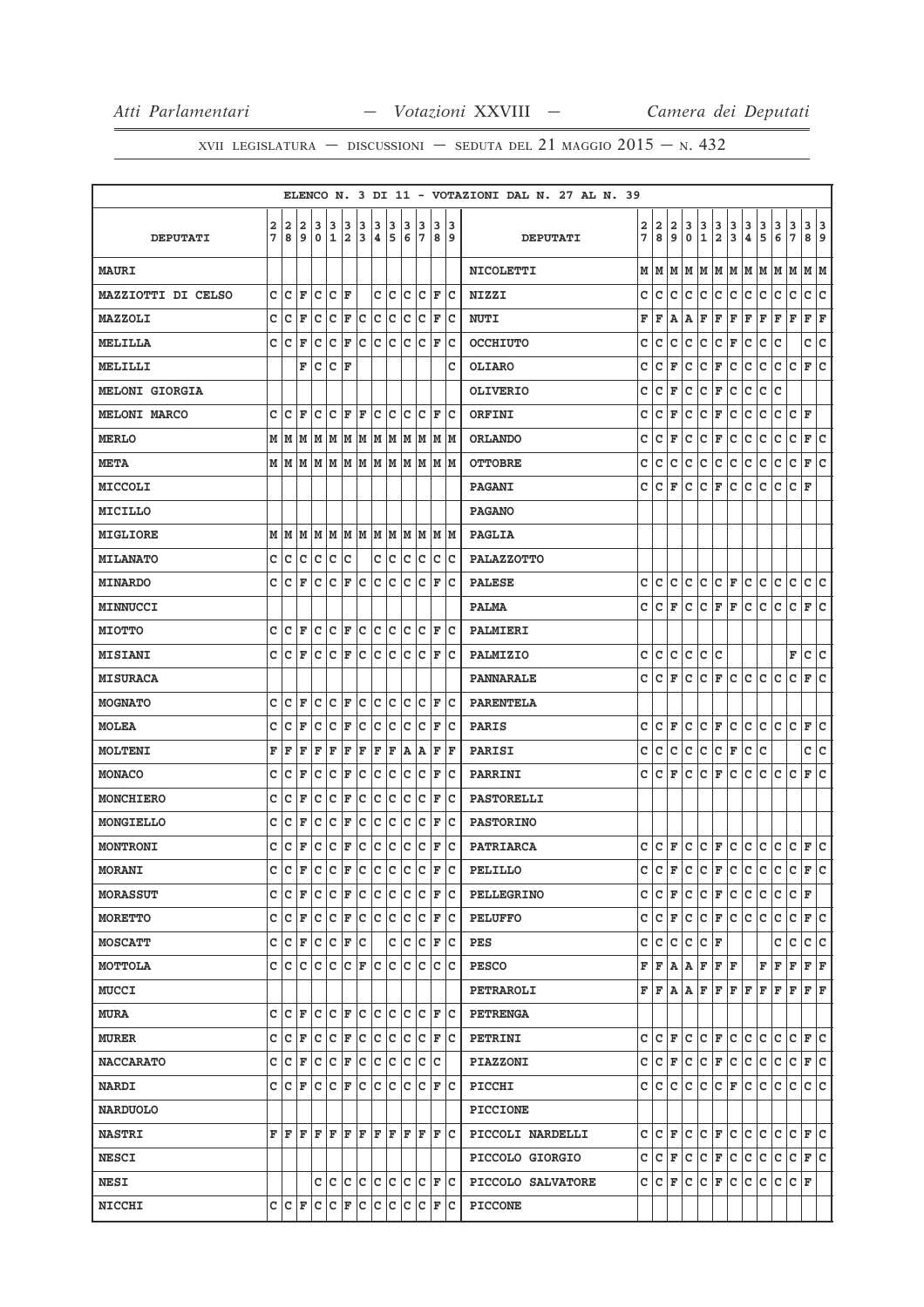|                       |        |     |                         |         |       |     |     |     |     |             |     |     |      |     | ELENCO N. 3 DI 11 - VOTAZIONI DAL N. 27 AL N. 39 |              |     |              |              |                   |                          |                          |               |               |                                                                                                                                                |                                       |                                                 |     |
|-----------------------|--------|-----|-------------------------|---------|-------|-----|-----|-----|-----|-------------|-----|-----|------|-----|--------------------------------------------------|--------------|-----|--------------|--------------|-------------------|--------------------------|--------------------------|---------------|---------------|------------------------------------------------------------------------------------------------------------------------------------------------|---------------------------------------|-------------------------------------------------|-----|
|                       |        | 2   | 2                       | з       | 3     | 3   | 3   | 3   | 3   | 3           | 3   | 3   |      | 13  |                                                  | 2            | 2   | 2            |              |                   |                          |                          |               |               |                                                                                                                                                |                                       |                                                 |     |
| <b>DEPUTATI</b>       | 2<br>7 | 8   | 9                       | 0       | 1     | 2   | 3   | 4   | 5   | 6           | 17  |     | 89   |     | <b>DEPUTATI</b>                                  | 7            | 8   | 9            | З<br>0       | $\frac{3}{1}$     | $\frac{3}{2}$            | $\frac{3}{3}$            | $\frac{3}{4}$ | $\frac{3}{5}$ | $\frac{3}{6}$                                                                                                                                  | $\begin{array}{c} 3 \\ 7 \end{array}$ | $\begin{array}{c c} 3 & 3 \\ 8 & 9 \end{array}$ |     |
| <b>MAURI</b>          |        |     |                         |         |       |     |     |     |     |             |     |     |      |     | <b>NICOLETTI</b>                                 | М            | M   | lм           |              |                   |                          |                          |               |               | M   M   M   M   M   M   M   M   M                                                                                                              |                                       |                                                 |     |
| MAZZIOTTI DI CELSO    | c      | c   | F                       | c       | lc.   | ΙF  |     | c   | Ιc  | c           | Ιc  | F   |      | Ιc  | <b>NIZZI</b>                                     | c            | c   | c            | c            | c                 | c                        | c                        | c             | c             | c                                                                                                                                              | C                                     | c c                                             |     |
| MAZZOLI               | c      | c   | F                       | c       | c     | F   | c   | c   | c   | c           | c   | ΙF  |      | Ιc  | <b>NUTI</b>                                      | F            | F   | А            | Α            | F                 | F                        | F                        | F             | F             | F                                                                                                                                              | F                                     | F                                               | F   |
| <b>MELILLA</b>        | c      | Ιc  | F                       | c       | c     | F   | c   | lc. | c   | c           | lc  | F   |      | Ιc  | <b>OCCHIUTO</b>                                  | с            | c   | $\mathtt{C}$ | c            | c                 | c                        | F                        | c             | c             | c                                                                                                                                              |                                       | c c                                             |     |
| MELILLI               |        |     | F                       | C       | C     | F   |     |     |     |             |     |     |      | c   | <b>OLIARO</b>                                    | c            | с   | F            | $\mathtt{C}$ | c                 | F                        | c                        | c             | c             | c                                                                                                                                              | c                                     | F                                               | lc  |
| <b>MELONI GIORGIA</b> |        |     |                         |         |       |     |     |     |     |             |     |     |      |     | <b>OLIVERIO</b>                                  | c            | c   | F            | $\mathtt{C}$ | c                 | $\mathbf F$              | c                        | $\mathtt{C}$  | $\mathtt{C}$  | C                                                                                                                                              |                                       |                                                 |     |
| <b>MELONI MARCO</b>   | c      | c   | F                       | c       | c     | F   | F   | c   | Ιc  | c           | Ιc  | F   |      | Iс  | ORFINI                                           | c            | с   | F            | $\mathbf C$  | c                 | F                        | c                        | c             | c             | c                                                                                                                                              | C F                                   |                                                 |     |
| <b>MERLO</b>          | М      | M   | M                       | M       | M     | M   | M   | M   | M   | M           | M   | M   |      | M   | <b>ORLANDO</b>                                   | c            | c   | F            | c            | c                 | F                        | c                        | с             | c             | с                                                                                                                                              | c                                     | F                                               | c   |
| <b>META</b>           |        | MM  | M                       |         | M M M |     | M   |     | M M |             | MM  |     | M  M |     | <b>OTTOBRE</b>                                   | с            | с   | $\mathtt{C}$ | c            | c                 | c                        | c                        | c             | c             | c                                                                                                                                              | c                                     | F C                                             |     |
| MICCOLI               |        |     |                         |         |       |     |     |     |     |             |     |     |      |     | <b>PAGANI</b>                                    | с            | c   | F            | c            | c                 | F                        | c                        | с             | c             | с                                                                                                                                              | c                                     | F                                               |     |
| MICILLO               |        |     |                         |         |       |     |     |     |     |             |     |     |      |     | <b>PAGANO</b>                                    |              |     |              |              |                   |                          |                          |               |               |                                                                                                                                                |                                       |                                                 |     |
| <b>MIGLIORE</b>       | M      | M   | M                       | M       | M     | M   | lм  | M   | M   | M           | M   | M   |      | Iм  | <b>PAGLIA</b>                                    |              |     |              |              |                   |                          |                          |               |               |                                                                                                                                                |                                       |                                                 |     |
| <b>MILANATO</b>       | c      | c   | C                       | lc      | lc.   | c   |     | c   | Ιc  | C           | Ιc  | c   |      | Ιc  | <b>PALAZZOTTO</b>                                |              |     |              |              |                   |                          |                          |               |               |                                                                                                                                                |                                       |                                                 |     |
| <b>MINARDO</b>        | c      | c   | F                       | c       | c     | ΙF  | c   | lc. | Iс  | c           | Ιc  | ΙF  |      | Ιc  | <b>PALESE</b>                                    | с            | с   | c            | c            | c                 | C F                      |                          | c             | c             | c                                                                                                                                              | $\mathtt{C}$                          | c c                                             |     |
| MINNUCCI              |        |     |                         |         |       |     |     |     |     |             |     |     |      |     | <b>PALMA</b>                                     | c            | c   | F            | c            | c                 | F                        | F                        | c             | c             | с                                                                                                                                              | c                                     | F                                               | c   |
| <b>MIOTTO</b>         | c      | c   | F                       | lc.     | lc.   | F   | c   | lc. | lc  | lc.         | lc  | F   |      | lc  | <b>PALMIERI</b>                                  |              |     |              |              |                   |                          |                          |               |               |                                                                                                                                                |                                       |                                                 |     |
| <b>MISIANI</b>        | c      | c   | F                       | c       | C     | F   | c   | с   | c   | с           | c   | F   |      | Iс  | PALMIZIO                                         | c            | c   | c            | c            | c                 | c                        |                          |               |               |                                                                                                                                                | F                                     | c                                               | c   |
| <b>MISURACA</b>       |        |     |                         |         |       |     |     |     |     |             |     |     |      |     | <b>PANNARALE</b>                                 | c            | c   | F            | c            | c                 | F                        | lc.                      | c             | c             | c                                                                                                                                              | c                                     | F                                               | lc. |
| <b>MOGNATO</b>        | c      | C   | F                       | C       | C     | l F | lc  | C   | lc  | C           | lc  | ΙF  |      | Iс  | <b>PARENTELA</b>                                 |              |     |              |              |                   |                          |                          |               |               |                                                                                                                                                |                                       |                                                 |     |
| <b>MOLEA</b>          | c      | c   | F                       | c       | C     | F   | c   | c   | Iс  | c           | c   | F   |      | Ιc  | <b>PARIS</b>                                     | c            | c   | F            | c            | c                 | F                        | c                        | c             | c             | c                                                                                                                                              | c                                     | F                                               | c   |
| <b>MOLTENI</b>        | F      | F   | F                       | F       | F     | F   | F   | F   | F   | A           | A   | F   |      | F   | <b>PARISI</b>                                    | c            | c   | $\mathtt{C}$ | $\mathbf C$  | c                 | c                        | F                        | c             | c             |                                                                                                                                                |                                       | c                                               | lc. |
| <b>MONACO</b>         | с      | c   | F                       | c       | c     | F   | c   | c   | c   | c           | Ιc  | F   |      | Iс  | PARRINI                                          | c            | c   | F            | c            | c                 | F                        | c                        | с             | c             | c                                                                                                                                              | c                                     | F                                               | c   |
| <b>MONCHIERO</b>      | c      | c   | F                       | C       | c     | F   | c   | c   | c   | $\mathbf c$ | Ιc  | F   |      | Iс  | <b>PASTORELLI</b>                                |              |     |              |              |                   |                          |                          |               |               |                                                                                                                                                |                                       |                                                 |     |
| MONGIELLO             | с      | с   | F                       | c       | c     | F   | с   | с   | с   | с           | c   | F   |      | Iс  | <b>PASTORINO</b>                                 |              |     |              |              |                   |                          |                          |               |               |                                                                                                                                                |                                       |                                                 |     |
| <b>MONTRONI</b>       | c      | c   | F                       | с       | c     | F   | c   | с   | c   | C           | c   | F   |      | Iс  | <b>PATRIARCA</b>                                 | c            | c   | F            | $\mathtt{C}$ |                   | $ c _{\mathbf{F}}$       | c.                       | c             | c             | c                                                                                                                                              | $ C $ $\mathbf{F}$ $ C $              |                                                 |     |
| <b>MORANI</b>         | Ć      | C   | $\overline{\mathbf{F}}$ | c       | c     | F   | c   | c   | c   | c           | c   | F   |      | lc. | <b>PELILLO</b>                                   | $\mathbf{C}$ | c   |              |              |                   |                          |                          |               |               | $\mathbf{F}$ $\mathbf{c}$ $\mathbf{c}$ $\mathbf{F}$ $\mathbf{c}$ $\mathbf{c}$ $\mathbf{c}$ $\mathbf{c}$ $\mathbf{c}$ $\mathbf{F}$ $\mathbf{c}$ |                                       |                                                 |     |
| <b>MORASSUT</b>       | c      | с   | ΙF                      | c       | с     | F   | с   | с   | Iс  | с           | Iс  | F   |      | Ιc  | <b>PELLEGRINO</b>                                | с            | c   | F            | с            | c                 | F                        | c                        | с             | с             | с                                                                                                                                              | C F                                   |                                                 |     |
| <b>MORETTO</b>        | c      | Iс  | F                       | Iс      | c     | F   | c   | lc. | Iс  | Iс          | Iс  | F   |      | ΙC  | <b>PELUFFO</b>                                   | c            | C F |              | lc.          |                   | $ C $ $\mathbf{F}$ $ C $ |                          | lc.           | lc.           | c                                                                                                                                              | C F C                                 |                                                 |     |
| <b>MOSCATT</b>        | c      | с   | F                       | Iс      | c     | F   | c   |     | c   | Iс          | Iс  | F   |      | Ιc  | PES                                              | c            | с   | с            | c            | $ {\tt C} \,  $ F |                          |                          |               |               | с                                                                                                                                              | с                                     | c c                                             |     |
| MOTTOLA               | с      | Iс  | Ιc                      | с       | c     | lc. | F   | lc. | lc  | Iс          | Iс  | lc. |      | Iс  | <b>PESCO</b>                                     | F            |     | F A          | Α            | F                 | F F                      |                          |               | F             | F                                                                                                                                              | F                                     | F F                                             |     |
| <b>MUCCI</b>          |        |     |                         |         |       |     |     |     |     |             |     |     |      |     | PETRAROLI                                        | F            | F   | A   A        |              | F                 | F                        | F F                      |               | F             | F                                                                                                                                              | F                                     | FF                                              |     |
| <b>MURA</b>           | c      | c   | F                       | c       | c     | F   | ∣c  | c   | c   | $\mathbf c$ | lc  | F   |      | Iс  | <b>PETRENGA</b>                                  |              |     |              |              |                   |                          |                          |               |               |                                                                                                                                                |                                       |                                                 |     |
| <b>MURER</b>          | c      | c   | F                       | Iс      | c     | F   | Ιc  | c   | Ιc  | c           | Ιc  | F   |      | Iс  | <b>PETRINI</b>                                   | c            |     | C F          | lc.          |                   |                          | $ c _F c c c$            |               |               | с                                                                                                                                              | $ c _F _C$                            |                                                 |     |
| <b>NACCARATO</b>      | c      | Iс  | F                       | Iс      | с     | F   | c   | Iс  | Iс  | c           | Iс  | Iс  |      |     | <b>PIAZZONI</b>                                  | с            |     | C F          | c            |                   |                          | $ C $ $\mathbf{F}$ $ C $ | c             | lc.           | с                                                                                                                                              | $ C $ $\mathbf{F}$ $ C $              |                                                 |     |
| <b>NARDI</b>          | c      | lc. | F                       | Iс      | lc.   | F   | lc. | c   | Iс  | Iс          | Iс  | F   |      | Iс  | PICCHI                                           | c            | c   | c            |              | c c               |                          | C F                      | c c           |               | c                                                                                                                                              | c                                     | c c                                             |     |
| <b>NARDUOLO</b>       |        |     |                         |         |       |     |     |     |     |             |     |     |      |     | <b>PICCIONE</b>                                  |              |     |              |              |                   |                          |                          |               |               |                                                                                                                                                |                                       |                                                 |     |
| <b>NASTRI</b>         | F      | F F |                         | $F$ $F$ |       | lF. | ΙF  | FF  |     |             | F F |     | F C  |     | PICCOLI NARDELLI                                 | с            |     | C F          |              | C C F C C C       |                          |                          |               |               | c                                                                                                                                              | $ C $ $\mathbf{F}$ $ C $              |                                                 |     |
| <b>NESCI</b>          |        |     |                         |         |       |     |     |     |     |             |     |     |      |     | PICCOLO GIORGIO                                  | c            | с   | F            | c            | c                 |                          | F C                      | c             | c             | c                                                                                                                                              | c                                     | F C                                             |     |
| <b>NESI</b>           |        |     |                         | с       | c     | c   | c   | c   | c   | lc.         | ∣c  |     | F C  |     | PICCOLO SALVATORE                                | c            |     | C F          | c            |                   | $ c _F$                  | c.                       | c.            | c             | c                                                                                                                                              | C F                                   |                                                 |     |
| <b>NICCHI</b>         | c      | C F |                         | c c     |       | F   | lc. | c   | c   | Iс          | lc. | F   |      | Iс  | <b>PICCONE</b>                                   |              |     |              |              |                   |                          |                          |               |               |                                                                                                                                                |                                       |                                                 |     |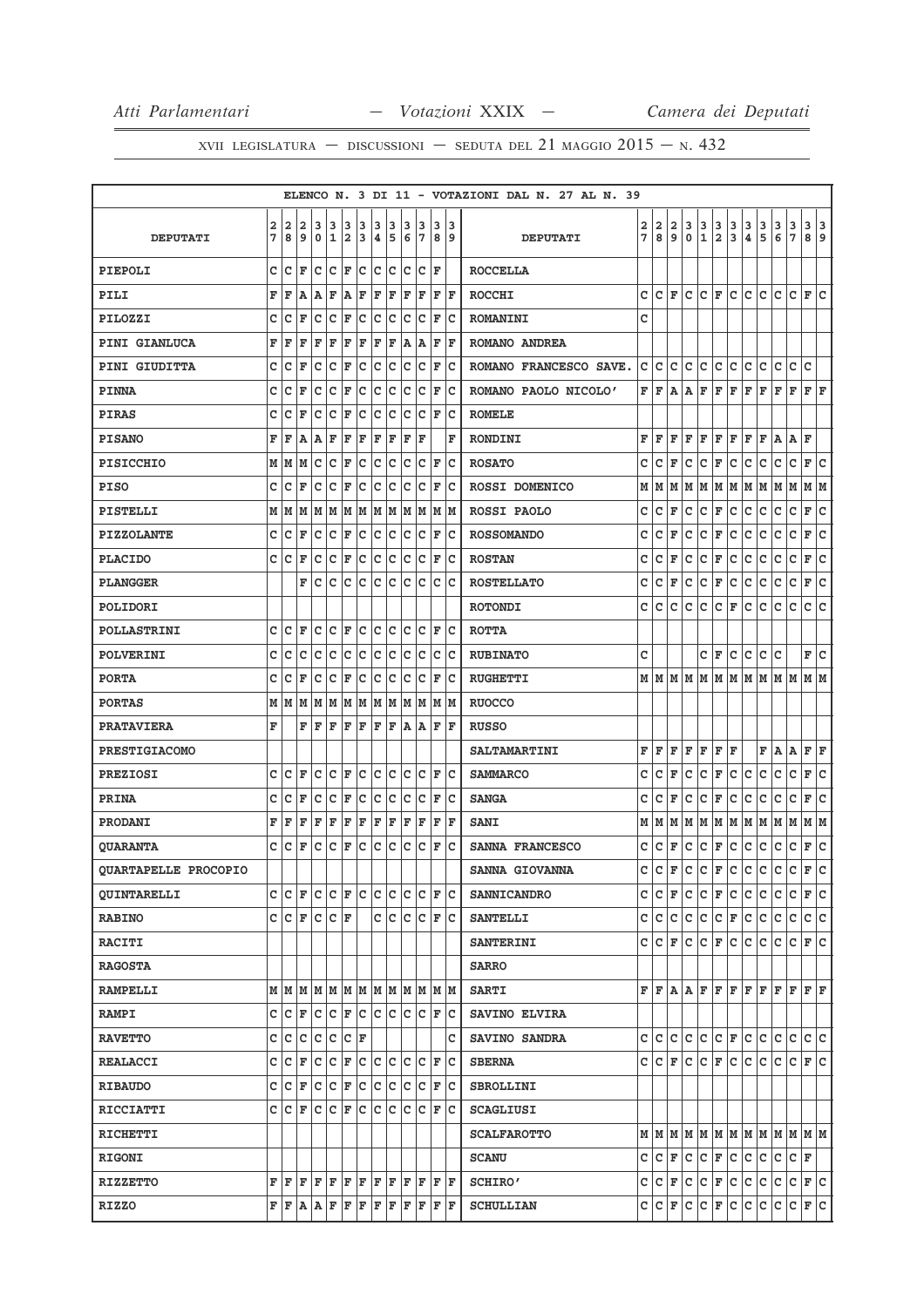|                      |        |         |                     |                        |        |                      |             |        |        |        |         |                                                                                                                                                                                                                                                  |          | ELENCO N. 3 DI 11 - VOTAZIONI DAL N. 27 AL N. 39 |        |        |        |               |                 |                          |              |             |                                 |                             |                          |                              |     |
|----------------------|--------|---------|---------------------|------------------------|--------|----------------------|-------------|--------|--------|--------|---------|--------------------------------------------------------------------------------------------------------------------------------------------------------------------------------------------------------------------------------------------------|----------|--------------------------------------------------|--------|--------|--------|---------------|-----------------|--------------------------|--------------|-------------|---------------------------------|-----------------------------|--------------------------|------------------------------|-----|
| <b>DEPUTATI</b>      | 2<br>7 | 2<br>8  | 2<br>9              | 3<br>$\mathbf 0$       | 3<br>1 | 3<br>2               | 3<br>3      | 3<br>4 | 3<br>5 | з<br>6 | 3<br>17 | 3<br>8                                                                                                                                                                                                                                           | 3<br>و ا | <b>DEPUTATI</b>                                  | 2<br>7 | 2<br>8 | 2<br>9 | з<br>0        | 3<br>1          | з<br>$\mathbf{2}$        | 3<br>3       | 3<br>4      | 3<br>5                          | 3<br>6                      | 3<br>$\overline{7}$      | 3<br>8 9                     | 3   |
|                      |        |         |                     |                        |        |                      |             |        |        |        |         |                                                                                                                                                                                                                                                  |          |                                                  |        |        |        |               |                 |                          |              |             |                                 |                             |                          |                              |     |
| PIEPOLI              | c      | c       | F                   | c                      | c      | F                    | c           | c      | Iс     | с      | с       | F                                                                                                                                                                                                                                                |          | <b>ROCCELLA</b>                                  |        |        |        |               |                 |                          |              |             |                                 |                             |                          |                              |     |
| PILI                 | F      | F       | A                   | Α                      | F      | A                    | F           | F      | F      | ΙF     | F       | F                                                                                                                                                                                                                                                | F        | <b>ROCCHI</b>                                    | c      |        | CF     | c             | c               | F                        | c            | c           | lc.                             | c                           | lc.                      | F C                          |     |
| PILOZZI              | c      | с       | F                   | c                      | C      | F                    | с           | с      | c      | с      | с       | F                                                                                                                                                                                                                                                | c        | <b>ROMANINI</b>                                  | с      |        |        |               |                 |                          |              |             |                                 |                             |                          |                              |     |
| <b>PINI GIANLUCA</b> | F      | F       | F                   | F                      | F      | F                    | F           | F      | F      | Α      | Α       | F                                                                                                                                                                                                                                                | l F      | ROMANO ANDREA                                    |        |        |        |               |                 |                          |              |             |                                 |                             |                          |                              |     |
| PINI GIUDITTA        | C      | C       | F                   | C                      | C      | F                    | C           | C      | c      | C      | C       | F                                                                                                                                                                                                                                                | c        | ROMANO FRANCESCO SAVE.                           | c      | c      | c      | c             | c               | c                        | c            | c           | c                               | с                           | c                        | c                            |     |
| <b>PINNA</b>         | c      | c       | F                   | c                      | C      | ΙF                   | c           | c      | c      | c      | с       | F                                                                                                                                                                                                                                                | c        | ROMANO PAOLO NICOLO'                             | F      | l F    | A      | Α             | F               | F                        | F            | F           | F                               | F                           | F                        | $\mathbf{F} \mid \mathbf{F}$ |     |
| <b>PIRAS</b>         | c      | c       | F                   | c                      | c      | F                    | c           | c      | Iс     | c      | с       | ΙF                                                                                                                                                                                                                                               | Ιc       | <b>ROMELE</b>                                    |        |        |        |               |                 |                          |              |             |                                 |                             |                          |                              |     |
| <b>PISANO</b>        | F      | F       | Α                   | A                      | F      | F                    | F           | F      | F      | F      | F       |                                                                                                                                                                                                                                                  | F        | RONDINI                                          | F      | F      | F      | F             | F               | F                        | F            | F           | F                               | Α                           | Α                        | F                            |     |
| <b>PISICCHIO</b>     | М      | M       | M                   | с                      | c      | F                    | c           | C      | c      | с      | с       | F                                                                                                                                                                                                                                                | Ιc       | <b>ROSATO</b>                                    | с      | с      | F      | с             | с               | F                        | с            | с           | с                               | с                           | c                        | F                            | Iс  |
| <b>PISO</b>          | c      | с       | F                   | c                      | c      | F                    | с           | с      | c      | с      | с       | F                                                                                                                                                                                                                                                | c        | <b>ROSSI DOMENICO</b>                            | М      | М      | M      | М             | M               | M                        | M            | M           | M                               | M                           | M                        | M  M                         |     |
| PISTELLI             | М      | M       | M                   | M                      | M      | M                    | M           | M      | M      | M      | M       | M                                                                                                                                                                                                                                                | lМ       | <b>ROSSI PAOLO</b>                               | с      | с      | F      | с             | с               | $\mathbf F$              | с            | c           | с                               | с                           | с                        | F                            | c   |
| <b>PIZZOLANTE</b>    | C      | C       | F                   | C                      | C      | F                    | C           | C      | C      | C      | C       | F                                                                                                                                                                                                                                                | Ιc       | <b>ROSSOMANDO</b>                                | C      | c      | F      | c             | с               | F                        | с            | c           | с                               | c                           | c                        | F                            | lc. |
| <b>PLACIDO</b>       | C      | c       | F                   | c                      | c      | F                    | c           | c      | c      | c      | с       | F                                                                                                                                                                                                                                                | Ιc       | <b>ROSTAN</b>                                    | c      | c      | F      | с             | с               | F                        | с            | с           | с                               | с                           | c                        | F                            | lc  |
| <b>PLANGGER</b>      |        |         | F                   | c                      | C      | c                    | c           | C      | lc     | c      | c       | c                                                                                                                                                                                                                                                | Ιc       | <b>ROSTELLATO</b>                                | c      | с      | F      | с             | с               | F                        | с            | с           | с                               | с                           | c                        | F                            | c   |
| POLIDORI             |        |         |                     |                        |        |                      |             |        |        |        |         |                                                                                                                                                                                                                                                  |          | <b>ROTONDI</b>                                   | c      | c      | c      | c             | c               | c                        | F            | с           | с                               | c                           | c                        | c                            | lc. |
| <b>POLLASTRINI</b>   | с      | c       | F                   | c                      | c      | F                    | c           | c      | c      | с      | c       | F                                                                                                                                                                                                                                                | Iс       | <b>ROTTA</b>                                     |        |        |        |               |                 |                          |              |             |                                 |                             |                          |                              |     |
| <b>POLVERINI</b>     | c      | с       | с                   | c                      | c      | c                    | с           | c      | c      | с      | с       | c                                                                                                                                                                                                                                                | c        | <b>RUBINATO</b>                                  | c      |        |        |               | с               | F                        | с            | с           | с                               | с                           |                          | F                            | lc. |
| <b>PORTA</b>         | C      | c       | F                   | c                      | C      | F                    | c           | C      | c      | c      | c       | F                                                                                                                                                                                                                                                | Ιc       | <b>RUGHETTI</b>                                  |        |        |        | M   M   M   M | M               | M                        | M            | M           |                                 | M   M   M                   |                          | M  M                         |     |
| <b>PORTAS</b>        | М      | M       | M                   | M                      | M      | M                    | M           | M      | M      | M      | M       | M                                                                                                                                                                                                                                                | M        | <b>RUOCCO</b>                                    |        |        |        |               |                 |                          |              |             |                                 |                             |                          |                              |     |
| <b>PRATAVIERA</b>    | F      |         | F                   | F                      | F      | F                    | F           | F      | ΙF     | ١A     | Α       | F                                                                                                                                                                                                                                                | F        | <b>RUSSO</b>                                     |        |        |        |               |                 |                          |              |             |                                 |                             |                          |                              |     |
| <b>PRESTIGIACOMO</b> |        |         |                     |                        |        |                      |             |        |        |        |         |                                                                                                                                                                                                                                                  |          | <b>SALTAMARTINI</b>                              | F      | F      | F      | F             | F               | F                        | F            |             | F                               | A                           | A                        | F F                          |     |
| <b>PREZIOSI</b>      | C      | c       | F                   | c                      | c      | F                    | c           | c      | Iс     | c      | c       | F                                                                                                                                                                                                                                                | c        | <b>SAMMARCO</b>                                  | c      | c      | F      | с             | c               | F                        | с            | с           | с                               | с                           | c                        | F                            | Iс  |
| PRINA                | с      | c       | F                   | c                      | c      | F                    | c           | c      | c      | c      | с       | F                                                                                                                                                                                                                                                | Ιc       | <b>SANGA</b>                                     | с      | c      | F      | с             | с               | F                        | с            | с           | с                               | с                           | с                        | F                            | lc. |
| PRODANI              | F      | F       | F                   | F                      | F      | F                    | F           | F      | F      | F      | F       | F                                                                                                                                                                                                                                                | l F      | <b>SANI</b>                                      | М      | М      | M      | М             | M               | M                        | M            | M           | M                               | M                           | M                        | M                            | M   |
| <b>QUARANTA</b>      | C      | c       | F                   | C                      | C      | F                    | C           | C      | lc     | C      | C       | F                                                                                                                                                                                                                                                | lc       | SANNA FRANCESCO                                  | c      | c      | F      | с             | с               | F                        | c            | c           | с                               | с                           | с                        | F                            | lc. |
| QUARTAPELLE PROCOPIO |        |         |                     |                        |        |                      |             |        |        |        |         |                                                                                                                                                                                                                                                  |          | <b>SANNA GIOVANNA</b>                            | C      | C.     | F      | lc.           | $ c _F$         |                          | lc.          | lc.         | lc.                             | lc.                         | lc.                      | F                            | lc. |
| <b>OUINTARELLI</b>   |        | C C F   |                     | $ C C $ $\mathbf{F} C$ |        |                      |             | lc.    | lc.    | Iс     | lc.     | F  C                                                                                                                                                                                                                                             |          | <b>SANNICANDRO</b>                               |        |        | C C F  | lc.           |                 | $ c $ F $ c $            |              | lc.         | lc.                             | lc.                         | l C                      | F C                          |     |
| <b>RABINO</b>        |        | C C F   |                     | C C F                  |        |                      |             |        | c c    | c      | c       | F C                                                                                                                                                                                                                                              |          | <b>SANTELLI</b>                                  |        |        |        |               | c c c c c       |                          |              | $ c _F c c$ |                                 | lc.                         | c.                       | c c                          |     |
| <b>RACITI</b>        |        |         |                     |                        |        |                      |             |        |        |        |         |                                                                                                                                                                                                                                                  |          | <b>SANTERINI</b>                                 |        |        |        | C C F C       |                 | $ C $ $\mathbf{F} C$     |              | lc.         | lc.                             | lc.                         | IC IF IC                 |                              |     |
| <b>RAGOSTA</b>       |        |         |                     |                        |        |                      |             |        |        |        |         |                                                                                                                                                                                                                                                  |          | <b>SARRO</b>                                     |        |        |        |               |                 |                          |              |             |                                 |                             |                          |                              |     |
| <b>RAMPELLI</b>      |        |         | мімімімімімімімімім |                        |        |                      |             |        |        |        |         | M M                                                                                                                                                                                                                                              |          | <b>SARTI</b>                                     |        |        |        |               |                 |                          |              |             |                                 | F F A A F F F F F F F F F F |                          |                              |     |
| <b>RAMPI</b>         |        | C C F   |                     | c c                    |        | F c                  |             | lc.    | lc.    | lc.    | lc.     | F C                                                                                                                                                                                                                                              |          | SAVINO ELVIRA                                    |        |        |        |               |                 |                          |              |             |                                 |                             |                          |                              |     |
| <b>RAVETTO</b>       |        | c  c  c |                     | c c                    |        | $ {\bf C}  {\bf F} $ |             |        |        |        |         |                                                                                                                                                                                                                                                  | c        | SAVINO SANDRA                                    |        |        |        |               | C C C C C F C C |                          |              |             |                                 | c c                         |                          | c c                          |     |
| <b>REALACCI</b>      |        | C C F   |                     | Iс                     | c      | F                    | $ {\bf c} $ | c c    |        | lc.    | lc.     | F                                                                                                                                                                                                                                                | lc       | <b>SBERNA</b>                                    |        |        |        | C C F C       |                 |                          | $ c _F c c $ |             | lc.                             | lc.                         | IC IF IC                 |                              |     |
| <b>RIBAUDO</b>       |        | CCF     |                     | C C F                  |        |                      | c           | c c    |        | lc.    | lc.     | F                                                                                                                                                                                                                                                | ∣c       | <b>SBROLLINI</b>                                 |        |        |        |               |                 |                          |              |             |                                 |                             |                          |                              |     |
| <b>RICCIATTI</b>     |        | CCF     |                     | lc.                    | c      | lF.                  | c           | c      | с      | c      | c       | F                                                                                                                                                                                                                                                | Ιc       | <b>SCAGLIUSI</b>                                 |        |        |        |               |                 |                          |              |             |                                 |                             |                          |                              |     |
| <b>RICHETTI</b>      |        |         |                     |                        |        |                      |             |        |        |        |         |                                                                                                                                                                                                                                                  |          | <b>SCALFAROTTO</b>                               |        |        |        |               |                 |                          |              |             |                                 |                             |                          |                              |     |
| <b>RIGONI</b>        |        |         |                     |                        |        |                      |             |        |        |        |         |                                                                                                                                                                                                                                                  |          | <b>SCANU</b>                                     |        |        |        | C C F C       |                 | $ C $ $\mathbf{F}$ $ C $ |              | c c         |                                 | lc.                         | $ {\tt C} \;  $ F        |                              |     |
| <b>RIZZETTO</b>      |        | F F F   |                     | $F$ $F$                |        | F F                  |             | F F    |        |        | F F     | FF                                                                                                                                                                                                                                               |          | <b>SCHIRO'</b>                                   |        |        |        |               |                 |                          |              |             | $C  C  F  C  C  F  C  C  C  C $ |                             | $ C $ $\mathbf{F}$ $ C $ |                              |     |
| <b>RIZZO</b>         |        |         |                     |                        |        |                      |             |        |        |        |         | $\mathbf{F} \,   \, \mathbf{F} \,   \, \mathbf{A} \,   \, \mathbf{F} \,   \, \mathbf{F} \,   \, \mathbf{F} \,   \, \mathbf{F} \,   \, \mathbf{F} \,   \, \mathbf{F} \,   \, \mathbf{F} \,   \, \mathbf{F} \,   \, \mathbf{F} \,   \, \mathbf{F}$ |          | <b>SCHULLIAN</b>                                 |        |        |        |               |                 |                          |              |             |                                 | C  C F C C F C C C C C F C  |                          |                              |     |